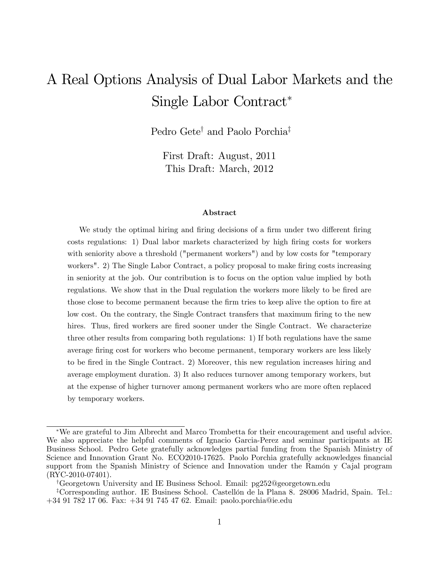# A Real Options Analysis of Dual Labor Markets and the Single Labor Contract

Pedro Gete<sup>†</sup> and Paolo Porchia<sup>‡</sup>

First Draft: August, 2011 This Draft: March, 2012

#### Abstract

We study the optimal hiring and firing decisions of a firm under two different firing costs regulations: 1) Dual labor markets characterized by high firing costs for workers with seniority above a threshold ("permanent workers") and by low costs for "temporary workers". 2) The Single Labor Contract, a policy proposal to make firing costs increasing in seniority at the job. Our contribution is to focus on the option value implied by both regulations. We show that in the Dual regulation the workers more likely to be fired are those close to become permanent because the firm tries to keep alive the option to fire at low cost. On the contrary, the Single Contract transfers that maximum firing to the new hires. Thus, fired workers are fired sooner under the Single Contract. We characterize three other results from comparing both regulations: 1) If both regulations have the same average Öring cost for workers who become permanent, temporary workers are less likely to be fired in the Single Contract. 2) Moreover, this new regulation increases hiring and average employment duration. 3) It also reduces turnover among temporary workers, but at the expense of higher turnover among permanent workers who are more often replaced by temporary workers.

<sup>y</sup>Georgetown University and IE Business School. Email: pg252@georgetown.edu

We are grateful to Jim Albrecht and Marco Trombetta for their encouragement and useful advice. We also appreciate the helpful comments of Ignacio Garcia-Perez and seminar participants at IE Business School. Pedro Gete gratefully acknowledges partial funding from the Spanish Ministry of Science and Innovation Grant No. ECO2010-17625. Paolo Porchia gratefully acknowledges financial support from the Spanish Ministry of Science and Innovation under the Ramón y Cajal program  $(RYC-2010-07401)$ .

<sup>&</sup>lt;sup>‡</sup>Corresponding author. IE Business School. Castellón de la Plana 8. 28006 Madrid, Spain. Tel.: +34 91 782 17 06. Fax: +34 91 745 47 62. Email: paolo.porchia@ie.edu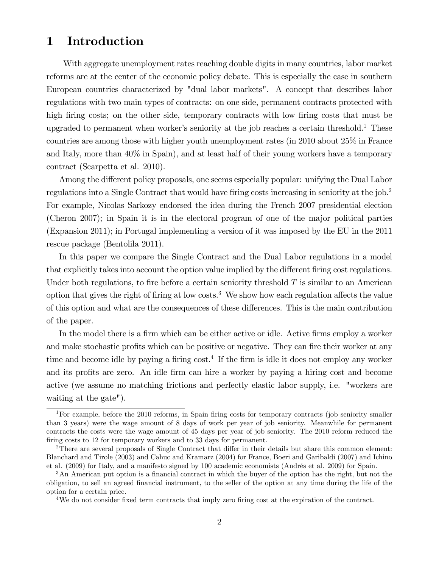# 1 Introduction

With aggregate unemployment rates reaching double digits in many countries, labor market reforms are at the center of the economic policy debate. This is especially the case in southern European countries characterized by "dual labor markets". A concept that describes labor regulations with two main types of contracts: on one side, permanent contracts protected with high firing costs; on the other side, temporary contracts with low firing costs that must be upgraded to permanent when worker's seniority at the job reaches a certain threshold.<sup>1</sup> These countries are among those with higher youth unemployment rates (in 2010 about 25% in France and Italy, more than 40% in Spain), and at least half of their young workers have a temporary contract (Scarpetta et al. 2010).

Among the different policy proposals, one seems especially popular: unifying the Dual Labor regulations into a Single Contract that would have firing costs increasing in seniority at the job.<sup>2</sup> For example, Nicolas Sarkozy endorsed the idea during the French 2007 presidential election (Cheron 2007); in Spain it is in the electoral program of one of the major political parties (Expansion 2011); in Portugal implementing a version of it was imposed by the EU in the 2011 rescue package (Bentolila 2011).

In this paper we compare the Single Contract and the Dual Labor regulations in a model that explicitly takes into account the option value implied by the different firing cost regulations. Under both regulations, to fire before a certain seniority threshold  $T$  is similar to an American option that gives the right of firing at low costs.<sup>3</sup> We show how each regulation affects the value of this option and what are the consequences of these differences. This is the main contribution of the paper.

In the model there is a firm which can be either active or idle. Active firms employ a worker and make stochastic profits which can be positive or negative. They can fire their worker at any time and become idle by paying a firing cost.<sup>4</sup> If the firm is idle it does not employ any worker and its profits are zero. An idle firm can hire a worker by paying a hiring cost and become active (we assume no matching frictions and perfectly elastic labor supply, i.e. "workers are waiting at the gate").

<sup>&</sup>lt;sup>1</sup>For example, before the 2010 reforms, in Spain firing costs for temporary contracts (job seniority smaller than 3 years) were the wage amount of 8 days of work per year of job seniority. Meanwhile for permanent contracts the costs were the wage amount of 45 days per year of job seniority. The 2010 reform reduced the firing costs to 12 for temporary workers and to 33 days for permanent.

<sup>&</sup>lt;sup>2</sup>There are several proposals of Single Contract that differ in their details but share this common element: Blanchard and Tirole (2003) and Cahuc and Kramarz (2004) for France, Boeri and Garibaldi (2007) and Ichino et al. (2009) for Italy, and a manifesto signed by 100 academic economists (Andrés et al. 2009) for Spain.

<sup>&</sup>lt;sup>3</sup>An American put option is a financial contract in which the buyer of the option has the right, but not the obligation, to sell an agreed Önancial instrument, to the seller of the option at any time during the life of the option for a certain price.

<sup>&</sup>lt;sup>4</sup>We do not consider fixed term contracts that imply zero firing cost at the expiration of the contract.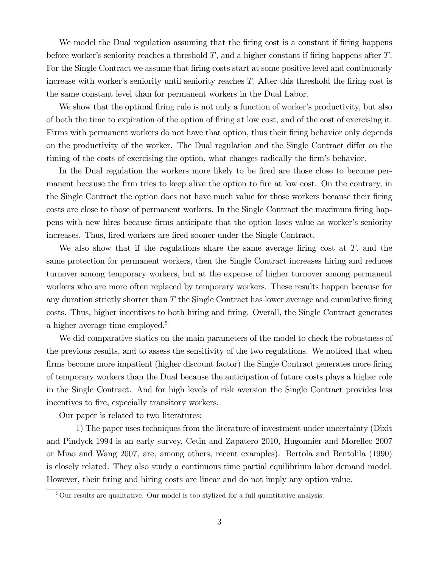We model the Dual regulation assuming that the firing cost is a constant if firing happens before worker's seniority reaches a threshold  $T$ , and a higher constant if firing happens after  $T$ . For the Single Contract we assume that firing costs start at some positive level and continuously increase with worker's seniority until seniority reaches  $T$ . After this threshold the firing cost is the same constant level than for permanent workers in the Dual Labor.

We show that the optimal firing rule is not only a function of worker's productivity, but also of both the time to expiration of the option of Öring at low cost, and of the cost of exercising it. Firms with permanent workers do not have that option, thus their firing behavior only depends on the productivity of the worker. The Dual regulation and the Single Contract differ on the timing of the costs of exercising the option, what changes radically the firm's behavior.

In the Dual regulation the workers more likely to be fired are those close to become permanent because the firm tries to keep alive the option to fire at low cost. On the contrary, in the Single Contract the option does not have much value for those workers because their firing costs are close to those of permanent workers. In the Single Contract the maximum firing happens with new hires because firms anticipate that the option loses value as worker's seniority increases. Thus, fired workers are fired sooner under the Single Contract.

We also show that if the regulations share the same average firing cost at  $T$ , and the same protection for permanent workers, then the Single Contract increases hiring and reduces turnover among temporary workers, but at the expense of higher turnover among permanent workers who are more often replaced by temporary workers. These results happen because for any duration strictly shorter than  $T$  the Single Contract has lower average and cumulative firing costs. Thus, higher incentives to both hiring and firing. Overall, the Single Contract generates a higher average time employed.<sup>5</sup>

We did comparative statics on the main parameters of the model to check the robustness of the previous results, and to assess the sensitivity of the two regulations. We noticed that when firms become more impatient (higher discount factor) the Single Contract generates more firing of temporary workers than the Dual because the anticipation of future costs plays a higher role in the Single Contract. And for high levels of risk aversion the Single Contract provides less incentives to fire, especially transitory workers.

Our paper is related to two literatures:

1) The paper uses techniques from the literature of investment under uncertainty (Dixit and Pindyck 1994 is an early survey, Cetin and Zapatero 2010, Hugonnier and Morellec 2007 or Miao and Wang 2007, are, among others, recent examples). Bertola and Bentolila (1990) is closely related. They also study a continuous time partial equilibrium labor demand model. However, their Öring and hiring costs are linear and do not imply any option value.

 $5$ Our results are qualitative. Our model is too stylized for a full quantitative analysis.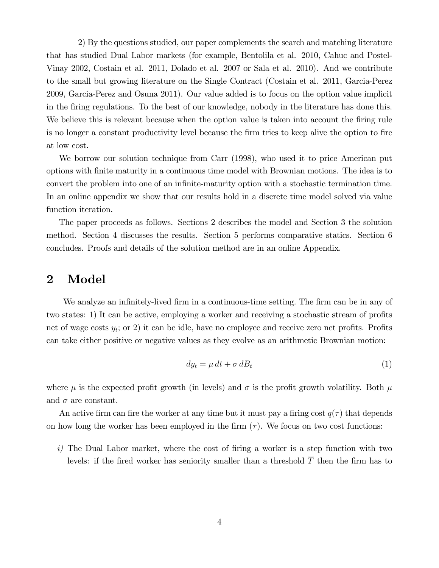2) By the questions studied, our paper complements the search and matching literature that has studied Dual Labor markets (for example, Bentolila et al. 2010, Cahuc and Postel-Vinay 2002, Costain et al. 2011, Dolado et al. 2007 or Sala et al. 2010). And we contribute to the small but growing literature on the Single Contract (Costain et al. 2011, Garcia-Perez 2009, Garcia-Perez and Osuna 2011). Our value added is to focus on the option value implicit in the Öring regulations. To the best of our knowledge, nobody in the literature has done this. We believe this is relevant because when the option value is taken into account the firing rule is no longer a constant productivity level because the Örm tries to keep alive the option to Öre at low cost.

We borrow our solution technique from Carr (1998), who used it to price American put options with Önite maturity in a continuous time model with Brownian motions. The idea is to convert the problem into one of an infinite-maturity option with a stochastic termination time. In an online appendix we show that our results hold in a discrete time model solved via value function iteration.

The paper proceeds as follows. Sections 2 describes the model and Section 3 the solution method. Section 4 discusses the results. Section 5 performs comparative statics. Section 6 concludes. Proofs and details of the solution method are in an online Appendix.

### 2 Model

We analyze an infinitely-lived firm in a continuous-time setting. The firm can be in any of two states: 1) It can be active, employing a worker and receiving a stochastic stream of profits net of wage costs  $y_t$ ; or 2) it can be idle, have no employee and receive zero net profits. Profits can take either positive or negative values as they evolve as an arithmetic Brownian motion:

$$
dy_t = \mu \, dt + \sigma \, dB_t \tag{1}
$$

where  $\mu$  is the expected profit growth (in levels) and  $\sigma$  is the profit growth volatility. Both  $\mu$ and  $\sigma$  are constant.

An active firm can fire the worker at any time but it must pay a firing cost  $q(\tau)$  that depends on how long the worker has been employed in the firm  $(\tau)$ . We focus on two cost functions:

 $i)$  The Dual Labor market, where the cost of firing a worker is a step function with two levels: if the fired worker has seniority smaller than a threshold  $\overline{T}$  then the firm has to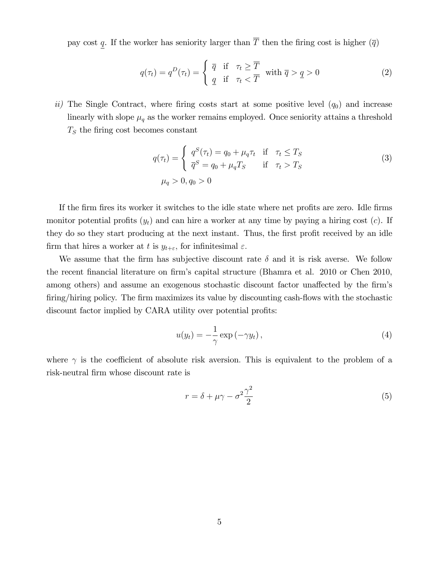pay cost  $\underline{q}$ . If the worker has seniority larger than  $\overline{T}$  then the firing cost is higher  $(\overline{q})$ 

$$
q(\tau_t) = q^D(\tau_t) = \begin{cases} \overline{q} & \text{if } \tau_t \geq \overline{T} \\ \underline{q} & \text{if } \tau_t < \overline{T} \end{cases} \text{ with } \overline{q} > \underline{q} > 0 \tag{2}
$$

ii) The Single Contract, where firing costs start at some positive level  $(q_0)$  and increase linearly with slope  $\mu_q$  as the worker remains employed. Once seniority attains a threshold  $T<sub>S</sub>$  the firing cost becomes constant

$$
q(\tau_t) = \begin{cases} q^S(\tau_t) = q_0 + \mu_q \tau_t & \text{if } \tau_t \le T_S \\ \overline{q}^S = q_0 + \mu_q T_S & \text{if } \tau_t > T_S \end{cases}
$$
\n
$$
\mu_q > 0, q_0 > 0
$$
\n
$$
(3)
$$

If the firm fires its worker it switches to the idle state where net profits are zero. Idle firms monitor potential profits  $(y_t)$  and can hire a worker at any time by paying a hiring cost  $(c)$ . If they do so they start producing at the next instant. Thus, the first profit received by an idle firm that hires a worker at t is  $y_{t+\varepsilon}$ , for infinitesimal  $\varepsilon$ .

We assume that the firm has subjective discount rate  $\delta$  and it is risk averse. We follow the recent financial literature on firm's capital structure (Bhamra et al. 2010 or Chen 2010, among others) and assume an exogenous stochastic discount factor unaffected by the firm's firing/hiring policy. The firm maximizes its value by discounting cash-flows with the stochastic discount factor implied by CARA utility over potential profits:

$$
u(y_t) = -\frac{1}{\gamma} \exp(-\gamma y_t), \qquad (4)
$$

where  $\gamma$  is the coefficient of absolute risk aversion. This is equivalent to the problem of a risk-neutral firm whose discount rate is

$$
r = \delta + \mu \gamma - \sigma^2 \frac{\gamma^2}{2} \tag{5}
$$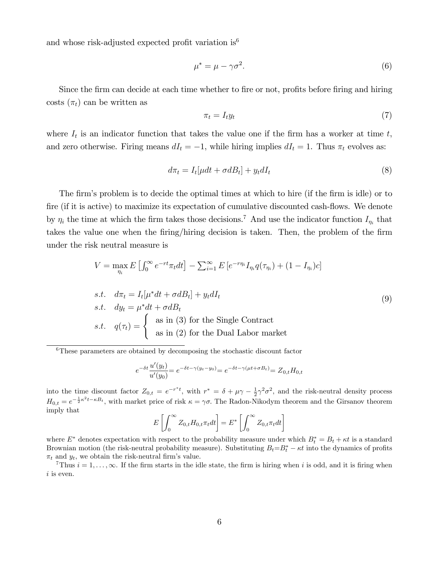and whose risk-adjusted expected profit variation is<sup>6</sup>

$$
\mu^* = \mu - \gamma \sigma^2. \tag{6}
$$

Since the firm can decide at each time whether to fire or not, profits before firing and hiring costs  $(\pi_t)$  can be written as

$$
\pi_t = I_t y_t \tag{7}
$$

where  $I_t$  is an indicator function that takes the value one if the firm has a worker at time t, and zero otherwise. Firing means  $dI_t = -1$ , while hiring implies  $dI_t = 1$ . Thus  $\pi_t$  evolves as:

$$
d\pi_t = I_t[\mu dt + \sigma dB_t] + y_t dI_t \tag{8}
$$

The firm's problem is to decide the optimal times at which to hire (if the firm is idle) or to fire (if it is active) to maximize its expectation of cumulative discounted cash-flows. We denote by  $\eta_i$  the time at which the firm takes those decisions.<sup>7</sup> And use the indicator function  $I_{\eta_i}$  that takes the value one when the firing/hiring decision is taken. Then, the problem of the firm under the risk neutral measure is

$$
V = \max_{\eta_i} E \left[ \int_0^\infty e^{-rt} \pi_t dt \right] - \sum_{i=1}^\infty E \left[ e^{-r \eta_i} I_{\eta_i} q(\tau_{\eta_i}) + (1 - I_{\eta_i}) c \right]
$$
  
s.t.  $d\pi_t = I_t[\mu^* dt + \sigma dB_t] + y_t dI_t$   
s.t.  $dy_t = \mu^* dt + \sigma dB_t$   
s.t.  $q(\tau_t) = \begin{cases} \text{as in (3) for the Single Contract} \\ \text{as in (2) for the Dual Labor market} \end{cases}$ 

<sup>6</sup>These parameters are obtained by decomposing the stochastic discount factor

$$
e^{-\delta t} \frac{u'(y_t)}{u'(y_0)} = e^{-\delta t - \gamma(y_t - y_0)} = e^{-\delta t - \gamma(\mu t + \sigma B_t)} = Z_{0,t} H_{0,t}
$$

into the time discount factor  $Z_{0,t} = e^{-r^*t}$ , with  $r^* = \delta + \mu \gamma - \frac{1}{2} \gamma^2 \sigma^2$ , and the risk-neutral density process  $H_{0,t} = e^{-\frac{1}{2}\kappa^2 t - \kappa B_t}$ , with market price of risk  $\kappa = \gamma \sigma$ . The Radon-Nikodym theorem and the Girsanov theorem imply that

$$
E\left[\int_0^\infty Z_{0,t}H_{0,t}\pi_t dt\right] = E^*\left[\int_0^\infty Z_{0,t}\pi_t dt\right]
$$

where  $E^*$  denotes expectation with respect to the probability measure under which  $B_t^* = B_t + \kappa t$  is a standard Brownian motion (the risk-neutral probability measure). Substituting  $B_t = B_t^* - \kappa t$  into the dynamics of profits  $\pi_t$  and  $y_t$ , we obtain the risk-neutral firm's value.

<sup>7</sup>Thus  $i = 1, \ldots, \infty$ . If the firm starts in the idle state, the firm is hiring when i is odd, and it is firing when  $i$  is even.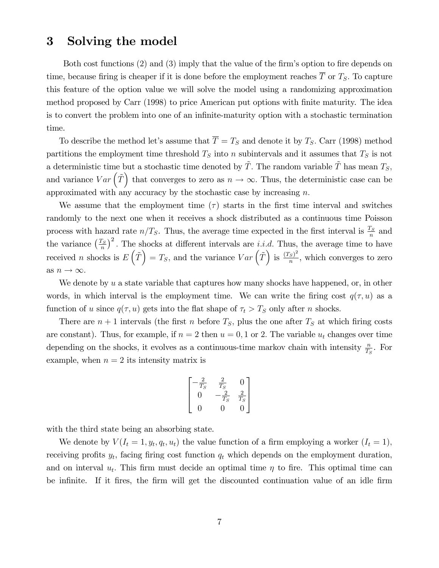### 3 Solving the model

Both cost functions  $(2)$  and  $(3)$  imply that the value of the firm's option to fire depends on time, because firing is cheaper if it is done before the employment reaches  $\overline{T}$  or  $T_S$ . To capture this feature of the option value we will solve the model using a randomizing approximation method proposed by Carr (1998) to price American put options with Önite maturity. The idea is to convert the problem into one of an infinite-maturity option with a stochastic termination time.

To describe the method let's assume that  $\overline{T} = T_S$  and denote it by  $T_S$ . Carr (1998) method partitions the employment time threshold  $T<sub>S</sub>$  into n subintervals and it assumes that  $T<sub>S</sub>$  is not a deterministic time but a stochastic time denoted by  $\tilde{T}$ . The random variable  $\tilde{T}$  has mean  $T_S$ ; and variance  $Var\left(\tilde{T}\right)$  that converges to zero as  $n \to \infty$ . Thus, the deterministic case can be approximated with any accuracy by the stochastic case by increasing  $n$ .

We assume that the employment time  $(\tau)$  starts in the first time interval and switches randomly to the next one when it receives a shock distributed as a continuous time Poisson process with hazard rate  $n/T_S$ . Thus, the average time expected in the first interval is  $\frac{T_S}{n}$  and the variance  $\left(\frac{T_S}{n}\right)$  $\left(\frac{r_S}{n}\right)^2$ . The shocks at different intervals are *i.i.d.* Thus, the average time to have received *n* shocks is  $E(\tilde{T}) = T_S$ , and the variance  $Var(\tilde{T})$  is  $\frac{(T_S)^2}{n}$  $\frac{s}{n}$ , which converges to zero as  $n \to \infty.$ 

We denote by  $u$  a state variable that captures how many shocks have happened, or, in other words, in which interval is the employment time. We can write the firing cost  $q(\tau, u)$  as a function of u since  $q(\tau, u)$  gets into the flat shape of  $\tau_t > T_S$  only after n shocks.

There are  $n+1$  intervals (the first n before  $T<sub>S</sub>$ , plus the one after  $T<sub>S</sub>$  at which firing costs are constant). Thus, for example, if  $n = 2$  then  $u = 0, 1$  or 2. The variable  $u_t$  changes over time depending on the shocks, it evolves as a continuous-time markov chain with intensity  $\frac{n}{T_S}$ . For example, when  $n = 2$  its intensity matrix is

$$
\begin{bmatrix}\n-\frac{2}{T_S} & \frac{2}{T_S} & 0 \\
0 & -\frac{2}{T_S} & \frac{2}{T_S} \\
0 & 0 & 0\n\end{bmatrix}
$$

with the third state being an absorbing state.

We denote by  $V(I_t = 1, y_t, q_t, u_t)$  the value function of a firm employing a worker  $(I_t = 1)$ , receiving profits  $y_t$ , facing firing cost function  $q_t$  which depends on the employment duration, and on interval  $u_t$ . This firm must decide an optimal time  $\eta$  to fire. This optimal time can be infinite. If it fires, the firm will get the discounted continuation value of an idle firm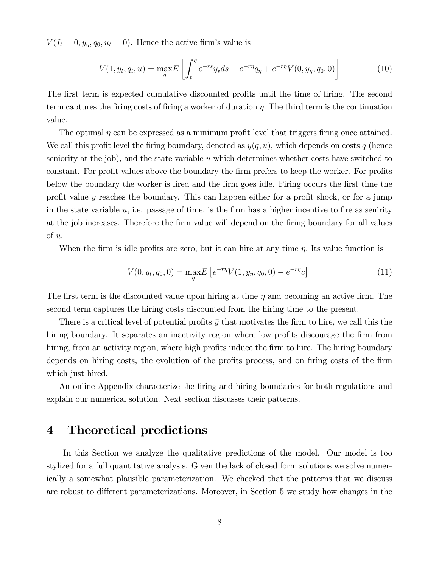$V(I_t = 0, y_\eta, q_0, u_t = 0)$ . Hence the active firm's value is

$$
V(1, y_t, q_t, u) = \max_{\eta} E\left[\int_t^{\eta} e^{-rs} y_s ds - e^{-r\eta} q_\eta + e^{-r\eta} V(0, y_\eta, q_0, 0)\right]
$$
(10)

The first term is expected cumulative discounted profits until the time of firing. The second term captures the firing costs of firing a worker of duration  $\eta$ . The third term is the continuation value.

The optimal  $\eta$  can be expressed as a minimum profit level that triggers firing once attained. We call this profit level the firing boundary, denoted as  $y(q, u)$ , which depends on costs q (hence seniority at the job), and the state variable  $u$  which determines whether costs have switched to constant. For profit values above the boundary the firm prefers to keep the worker. For profits below the boundary the worker is Öred and the Örm goes idle. Firing occurs the Örst time the profit value  $y$  reaches the boundary. This can happen either for a profit shock, or for a jump in the state variable  $u$ , i.e. passage of time, is the firm has a higher incentive to fire as senirity at the job increases. Therefore the firm value will depend on the firing boundary for all values of u:

When the firm is idle profits are zero, but it can hire at any time  $\eta$ . Its value function is

$$
V(0, y_t, q_0, 0) = \max_{\eta} E\left[e^{-r\eta} V(1, y_\eta, q_0, 0) - e^{-r\eta} c\right]
$$
\n(11)

The first term is the discounted value upon hiring at time  $\eta$  and becoming an active firm. The second term captures the hiring costs discounted from the hiring time to the present:

There is a critical level of potential profits  $\bar{y}$  that motivates the firm to hire, we call this the hiring boundary. It separates an inactivity region where low profits discourage the firm from hiring, from an activity region, where high profits induce the firm to hire. The hiring boundary depends on hiring costs, the evolution of the profits process, and on firing costs of the firm which just hired.

An online Appendix characterize the firing and hiring boundaries for both regulations and explain our numerical solution. Next section discusses their patterns.

## 4 Theoretical predictions

In this Section we analyze the qualitative predictions of the model. Our model is too stylized for a full quantitative analysis. Given the lack of closed form solutions we solve numerically a somewhat plausible parameterization. We checked that the patterns that we discuss are robust to different parameterizations. Moreover, in Section 5 we study how changes in the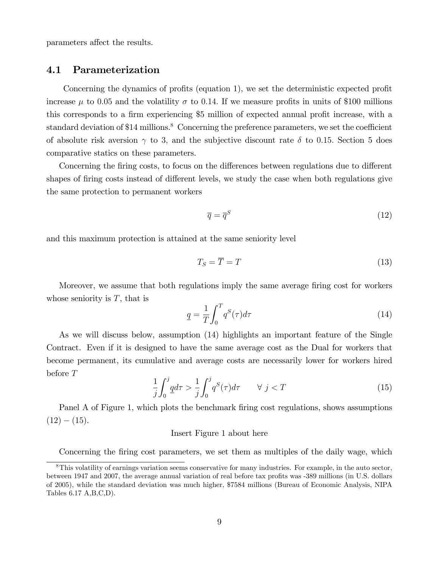parameters affect the results.

### 4.1 Parameterization

Concerning the dynamics of profits (equation 1), we set the deterministic expected profit increase  $\mu$  to 0.05 and the volatility  $\sigma$  to 0.14. If we measure profits in units of \$100 millions this corresponds to a firm experiencing \$5 million of expected annual profit increase, with a standard deviation of \$14 millions.<sup>8</sup> Concerning the preference parameters, we set the coefficient of absolute risk aversion  $\gamma$  to 3, and the subjective discount rate  $\delta$  to 0.15. Section 5 does comparative statics on these parameters.

Concerning the firing costs, to focus on the differences between regulations due to different shapes of firing costs instead of different levels, we study the case when both regulations give the same protection to permanent workers

$$
\overline{q} = \overline{q}^S \tag{12}
$$

and this maximum protection is attained at the same seniority level

$$
T_S = \overline{T} = T \tag{13}
$$

Moreover, we assume that both regulations imply the same average firing cost for workers whose seniority is  $T$ , that is

$$
\underline{q} = \frac{1}{T} \int_0^T q^S(\tau) d\tau \tag{14}
$$

As we will discuss below, assumption (14) highlights an important feature of the Single Contract. Even if it is designed to have the same average cost as the Dual for workers that become permanent, its cumulative and average costs are necessarily lower for workers hired before T

$$
\frac{1}{j} \int_0^j \underline{q} d\tau > \frac{1}{j} \int_0^j q^S(\tau) d\tau \qquad \forall \ j < T \tag{15}
$$

Panel A of Figure 1, which plots the benchmark firing cost regulations, shows assumptions  $(12) - (15)$ .

#### Insert Figure 1 about here

Concerning the firing cost parameters, we set them as multiples of the daily wage, which

<sup>8</sup>This volatility of earnings variation seems conservative for many industries. For example, in the auto sector, between 1947 and 2007, the average annual variation of real before tax profits was -389 millions (in U.S. dollars of 2005), while the standard deviation was much higher, \$7584 millions (Bureau of Economic Analysis, NIPA Tables 6.17 A,B,C,D).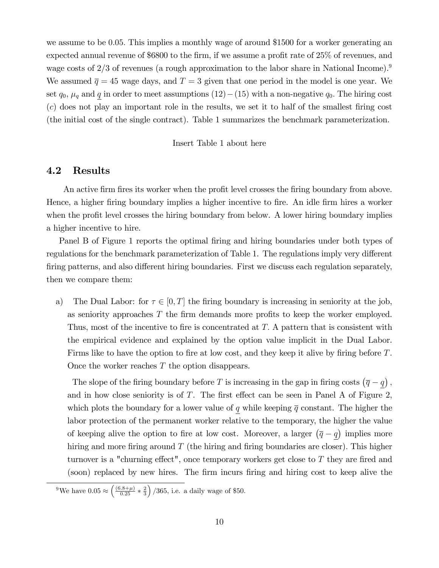we assume to be 0.05. This implies a monthly wage of around \$1500 for a worker generating an expected annual revenue of  $$6800$  to the firm, if we assume a profit rate of  $25\%$  of revenues, and wage costs of  $2/3$  of revenues (a rough approximation to the labor share in National Income).<sup>9</sup> We assumed  $\bar{q} = 45$  wage days, and  $T = 3$  given that one period in the model is one year. We set  $q_0$ ,  $\mu_q$  and  $\overline{q}$  in order to meet assumptions  $(12)-(15)$  with a non-negative  $q_0$ . The hiring cost  $(c)$  does not play an important role in the results, we set it to half of the smallest firing cost (the initial cost of the single contract). Table 1 summarizes the benchmark parameterization.

#### Insert Table 1 about here

### 4.2 Results

An active firm fires its worker when the profit level crosses the firing boundary from above. Hence, a higher firing boundary implies a higher incentive to fire. An idle firm hires a worker when the profit level crosses the hiring boundary from below. A lower hiring boundary implies a higher incentive to hire.

Panel B of Figure 1 reports the optimal firing and hiring boundaries under both types of regulations for the benchmark parameterization of Table 1. The regulations imply very different firing patterns, and also different hiring boundaries. First we discuss each regulation separately, then we compare them:

a) The Dual Labor: for  $\tau \in [0, T]$  the firing boundary is increasing in seniority at the job, as seniority approaches  $T$  the firm demands more profits to keep the worker employed. Thus, most of the incentive to fire is concentrated at  $T$ . A pattern that is consistent with the empirical evidence and explained by the option value implicit in the Dual Labor. Firms like to have the option to fire at low cost, and they keep it alive by firing before T. Once the worker reaches T the option disappears.

The slope of the firing boundary before T is increasing in the gap in firing costs  $(\overline{q} - \underline{q})$ , and in how close seniority is of  $T$ . The first effect can be seen in Panel A of Figure 2, which plots the boundary for a lower value of q while keeping  $\overline{q}$  constant. The higher the labor protection of the permanent worker relative to the temporary, the higher the value of keeping alive the option to fire at low cost. Moreover, a larger  $(\bar{q} - \underline{q})$  implies more hiring and more firing around  $T$  (the hiring and firing boundaries are closer). This higher turnover is a "churning effect", once temporary workers get close to  $T$  they are fired and (soon) replaced by new hires. The firm incurs firing and hiring cost to keep alive the

<sup>&</sup>lt;sup>9</sup>We have  $0.05 \approx \left(\frac{(6.8+\mu)}{0.25} * \frac{2}{3}\right)$  $\big)$  /365, i.e. a daily wage of \$50.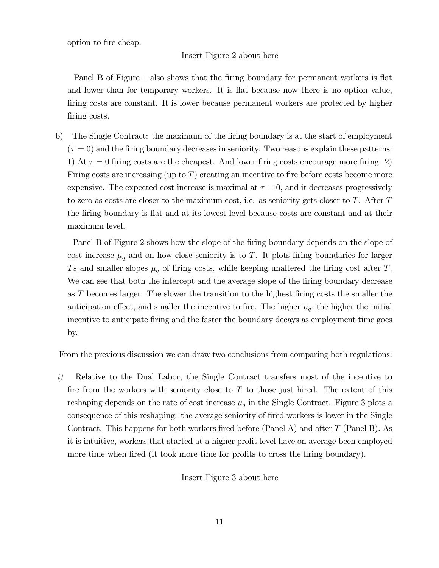option to fire cheap.

#### Insert Figure 2 about here

Panel B of Figure 1 also shows that the firing boundary for permanent workers is flat and lower than for temporary workers. It is flat because now there is no option value, firing costs are constant. It is lower because permanent workers are protected by higher firing costs.

b) The Single Contract: the maximum of the firing boundary is at the start of employment  $(\tau = 0)$  and the firing boundary decreases in seniority. Two reasons explain these patterns: 1) At  $\tau = 0$  firing costs are the cheapest. And lower firing costs encourage more firing. 2) Firing costs are increasing (up to  $T$ ) creating an incentive to fire before costs become more expensive. The expected cost increase is maximal at  $\tau = 0$ , and it decreases progressively to zero as costs are closer to the maximum cost, i.e. as seniority gets closer to  $T$ . After  $T$ the firing boundary is flat and at its lowest level because costs are constant and at their maximum level.

Panel B of Figure 2 shows how the slope of the firing boundary depends on the slope of cost increase  $\mu_q$  and on how close seniority is to T. It plots firing boundaries for larger Ts and smaller slopes  $\mu_q$  of firing costs, while keeping unaltered the firing cost after T. We can see that both the intercept and the average slope of the firing boundary decrease as T becomes larger. The slower the transition to the highest Öring costs the smaller the anticipation effect, and smaller the incentive to fire. The higher  $\mu_q$ , the higher the initial incentive to anticipate firing and the faster the boundary decays as employment time goes by.

From the previous discussion we can draw two conclusions from comparing both regulations:

i) Relative to the Dual Labor, the Single Contract transfers most of the incentive to fire from the workers with seniority close to  $T$  to those just hired. The extent of this reshaping depends on the rate of cost increase  $\mu_q$  in the Single Contract. Figure 3 plots a consequence of this reshaping: the average seniority of fired workers is lower in the Single Contract. This happens for both workers fired before (Panel A) and after  $T$  (Panel B). As it is intuitive, workers that started at a higher profit level have on average been employed more time when fired (it took more time for profits to cross the firing boundary).

Insert Figure 3 about here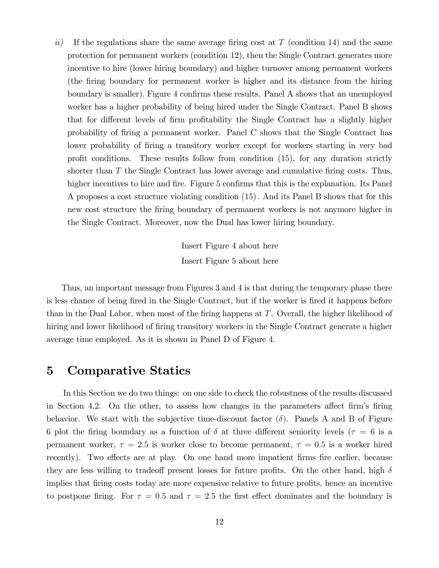ii) If the regulations share the same average firing cost at  $T$  (condition 14) and the same protection for permanent workers (condition 12), then the Single Contract generates more incentive to hire (lower hiring boundary) and higher turnover among permanent workers (the Öring boundary for permanent worker is higher and its distance from the hiring boundary is smaller). Figure 4 confirms these results. Panel A shows that an unemployed worker has a higher probability of being hired under the Single Contract. Panel B shows that for different levels of firm profitability the Single Contract has a slightly higher probability of Öring a permanent worker. Panel C shows that the Single Contract has lower probability of firing a transitory worker except for workers starting in very bad profit conditions. These results follow from condition  $(15)$ , for any duration strictly shorter than  $T$  the Single Contract has lower average and cumulative firing costs. Thus, higher incentives to hire and fire. Figure 5 confirms that this is the explanation. Its Panel A proposes a cost structure violating condition (15): And its Panel B shows that for this new cost structure the Öring boundary of permanent workers is not anymore higher in the Single Contract. Moreover, now the Dual has lower hiring boundary.

> Insert Figure 4 about here Insert Figure 5 about here

Thus, an important message from Figures 3 and 4 is that during the temporary phase there is less chance of being fired in the Single Contract, but if the worker is fired it happens before than in the Dual Labor, when most of the firing happens at  $T$ . Overall, the higher likelihood of hiring and lower likelihood of firing transitory workers in the Single Contract generate a higher average time employed. As it is shown in Panel D of Figure 4.

### 5 Comparative Statics

In this Section we do two things: on one side to check the robustness of the results discussed in Section 4.2. On the other, to assess how changes in the parameters affect firm's firing behavior. We start with the subjective time-discount factor  $(\delta)$ . Panels A and B of Figure 6 plot the firing boundary as a function of  $\delta$  at three different seniority levels ( $\tau = 6$  is a permanent worker,  $\tau = 2.5$  is worker close to become permanent,  $\tau = 0.5$  is a worker hired recently). Two effects are at play. On one hand more impatient firms fire earlier, because they are less willing to tradeoff present losses for future profits. On the other hand, high  $\delta$ implies that firing costs today are more expensive relative to future profits, hence an incentive to postpone firing. For  $\tau = 0.5$  and  $\tau = 2.5$  the first effect dominates and the boundary is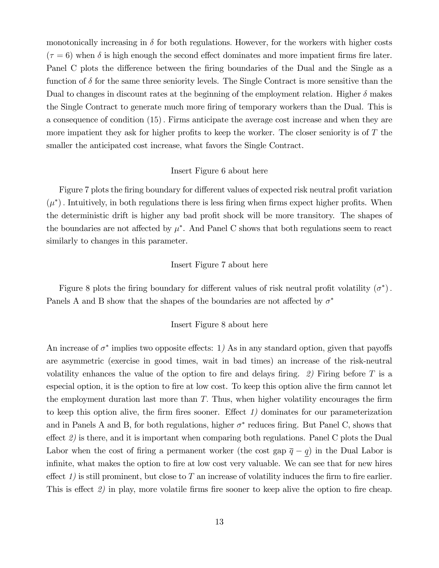monotonically increasing in  $\delta$  for both regulations. However, for the workers with higher costs  $(\tau = 6)$  when  $\delta$  is high enough the second effect dominates and more impatient firms fire later. Panel C plots the difference between the firing boundaries of the Dual and the Single as a function of  $\delta$  for the same three seniority levels. The Single Contract is more sensitive than the Dual to changes in discount rates at the beginning of the employment relation. Higher  $\delta$  makes the Single Contract to generate much more firing of temporary workers than the Dual. This is a consequence of condition (15): Firms anticipate the average cost increase and when they are more impatient they ask for higher profits to keep the worker. The closer seniority is of  $T$  the smaller the anticipated cost increase, what favors the Single Contract.

#### Insert Figure 6 about here

Figure 7 plots the firing boundary for different values of expected risk neutral profit variation  $(\mu^*)$ . Intuitively, in both regulations there is less firing when firms expect higher profits. When the deterministic drift is higher any bad profit shock will be more transitory. The shapes of the boundaries are not affected by  $\mu^*$ . And Panel C shows that both regulations seem to react similarly to changes in this parameter.

#### Insert Figure 7 about here

Figure 8 plots the firing boundary for different values of risk neutral profit volatility  $(\sigma^*)$ . Panels A and B show that the shapes of the boundaries are not affected by  $\sigma^*$ 

#### Insert Figure 8 about here

An increase of  $\sigma^*$  implies two opposite effects: 1) As in any standard option, given that payoffs are asymmetric (exercise in good times, wait in bad times) an increase of the risk-neutral volatility enhances the value of the option to fire and delays firing. 2) Firing before T is a especial option, it is the option to fire at low cost. To keep this option alive the firm cannot let the employment duration last more than  $T$ . Thus, when higher volatility encourages the firm to keep this option alive, the firm fires sooner. Effect  $1$ ) dominates for our parameterization and in Panels A and B, for both regulations, higher  $\sigma^*$  reduces firing. But Panel C, shows that effect  $\mathcal{Q}$ ) is there, and it is important when comparing both regulations. Panel C plots the Dual Labor when the cost of firing a permanent worker (the cost gap  $\overline{q} - \underline{q}$ ) in the Dual Labor is infinite, what makes the option to fire at low cost very valuable. We can see that for new hires effect 1) is still prominent, but close to T an increase of volatility induces the firm to fire earlier. This is effect  $\mathcal{Q}$  in play, more volatile firms fire sooner to keep alive the option to fire cheap.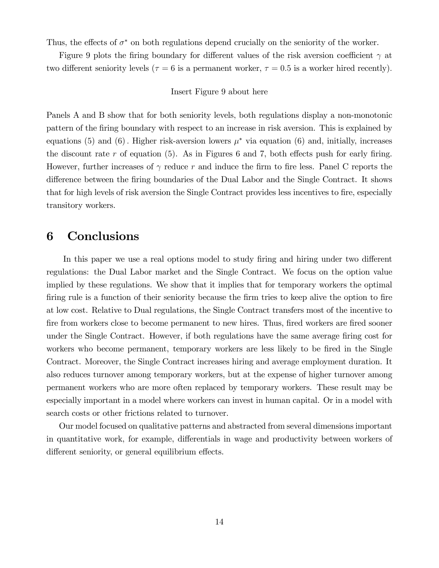Thus, the effects of  $\sigma^*$  on both regulations depend crucially on the seniority of the worker.

Figure 9 plots the firing boundary for different values of the risk aversion coefficient  $\gamma$  at two different seniority levels ( $\tau = 6$  is a permanent worker,  $\tau = 0.5$  is a worker hired recently).

#### Insert Figure 9 about here

Panels A and B show that for both seniority levels, both regulations display a non-monotonic pattern of the Öring boundary with respect to an increase in risk aversion. This is explained by equations (5) and (6). Higher risk-aversion lowers  $\mu^*$  via equation (6) and, initially, increases the discount rate r of equation  $(5)$ . As in Figures 6 and 7, both effects push for early firing. However, further increases of  $\gamma$  reduce r and induce the firm to fire less. Panel C reports the difference between the firing boundaries of the Dual Labor and the Single Contract. It shows that for high levels of risk aversion the Single Contract provides less incentives to fire, especially transitory workers.

# 6 Conclusions

In this paper we use a real options model to study firing and hiring under two different regulations: the Dual Labor market and the Single Contract. We focus on the option value implied by these regulations. We show that it implies that for temporary workers the optimal firing rule is a function of their seniority because the firm tries to keep alive the option to fire at low cost. Relative to Dual regulations, the Single Contract transfers most of the incentive to fire from workers close to become permanent to new hires. Thus, fired workers are fired sooner under the Single Contract. However, if both regulations have the same average firing cost for workers who become permanent, temporary workers are less likely to be fired in the Single Contract. Moreover, the Single Contract increases hiring and average employment duration. It also reduces turnover among temporary workers, but at the expense of higher turnover among permanent workers who are more often replaced by temporary workers. These result may be especially important in a model where workers can invest in human capital. Or in a model with search costs or other frictions related to turnover.

Our model focused on qualitative patterns and abstracted from several dimensions important in quantitative work, for example, differentials in wage and productivity between workers of different seniority, or general equilibrium effects.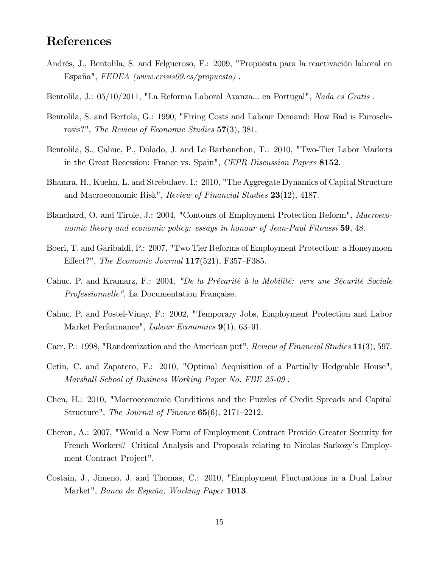# References

- Andrés, J., Bentolila, S. and Felgueroso, F.: 2009, "Propuesta para la reactivación laboral en España",  $FEDEA$  (www.crisis09.es/propuesta).
- Bentolila, J.: 05/10/2011, "La Reforma Laboral Avanza... en Portugal", Nada es Gratis.
- Bentolila, S. and Bertola, G.: 1990, "Firing Costs and Labour Demand: How Bad is Eurosclerosis?", The Review of Economic Studies 57(3), 381.
- Bentolila, S., Cahuc, P., Dolado, J. and Le Barbanchon, T.: 2010, "Two-Tier Labor Markets in the Great Recession: France vs. Spain", *CEPR Discussion Papers* 8152.
- Bhamra, H., Kuehn, L. and Strebulaev, I.: 2010, "The Aggregate Dynamics of Capital Structure and Macroeconomic Risk", Review of Financial Studies 23(12), 4187.
- Blanchard, O. and Tirole, J.: 2004, "Contours of Employment Protection Reform", Macroeconomic theory and economic policy: essays in honour of Jean-Paul Fitoussi 59, 48.
- Boeri, T. and Garibaldi, P.: 2007, "Two Tier Reforms of Employment Protection: a Honeymoon Effect?", The Economic Journal  $117(521)$ , F357–F385.
- Cahuc, P. and Kramarz, F.: 2004, "De la Précarité à la Mobilité: vers une Sécurité Sociale Professionnelle", La Documentation Française.
- Cahuc, P. and Postel-Vinay, F.: 2002, "Temporary Jobs, Employment Protection and Labor Market Performance", *Labour Economics*  $9(1)$ , 63–91.
- Carr, P.: 1998, "Randomization and the American put", Review of Financial Studies 11(3), 597.
- Cetin, C. and Zapatero, F.: 2010, "Optimal Acquisition of a Partially Hedgeable House", Marshall School of Business Working Paper No. FBE 25-09 .
- Chen, H.: 2010, "Macroeconomic Conditions and the Puzzles of Credit Spreads and Capital Structure", The Journal of Finance  $65(6)$ , 2171–2212.
- Cheron, A.: 2007, "Would a New Form of Employment Contract Provide Greater Security for French Workers? Critical Analysis and Proposals relating to Nicolas Sarkozy's Employment Contract Project".
- Costain, J., Jimeno, J. and Thomas, C.: 2010, "Employment Fluctuations in a Dual Labor Market", Banco de España, Working Paper 1013.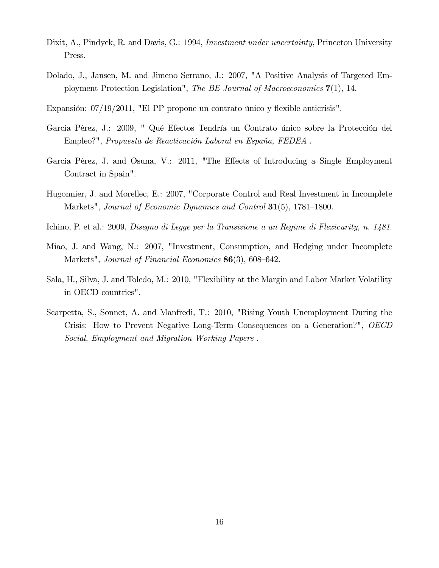- Dixit, A., Pindyck, R. and Davis, G.: 1994, *Investment under uncertainty*, Princeton University Press.
- Dolado, J., Jansen, M. and Jimeno Serrano, J.: 2007, "A Positive Analysis of Targeted Employment Protection Legislation", The BE Journal of Macroeconomics  $7(1)$ , 14.
- Expansión:  $07/19/2011$ , "El PP propone un contrato único y flexible anticrisis".
- Garcia Pérez, J.: 2009, " Qué Efectos Tendría un Contrato único sobre la Protección del Empleo?", Propuesta de Reactivación Laboral en España, FEDEA.
- Garcia Pérez, J. and Osuna, V.: 2011, "The Effects of Introducing a Single Employment Contract in Spain".
- Hugonnier, J. and Morellec, E.: 2007, "Corporate Control and Real Investment in Incomplete Markets", Journal of Economic Dynamics and Control  $31(5)$ , 1781–1800.
- Ichino, P. et al.: 2009, Disegno di Legge per la Transizione a un Regime di Flexicurity, n. 1481.
- Miao, J. and Wang, N.: 2007, "Investment, Consumption, and Hedging under Incomplete Markets", Journal of Financial Economics  $86(3)$ , 608–642.
- Sala, H., Silva, J. and Toledo, M.: 2010, "Flexibility at the Margin and Labor Market Volatility in OECD countries".
- Scarpetta, S., Sonnet, A. and Manfredi, T.: 2010, "Rising Youth Unemployment During the Crisis: How to Prevent Negative Long-Term Consequences on a Generation?", OECD Social, Employment and Migration Working Papers .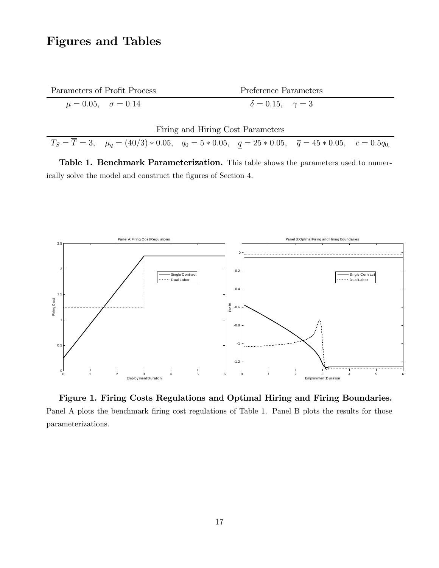# Figures and Tables

| Parameters of Profit Process      | Preference Parameters             |
|-----------------------------------|-----------------------------------|
| $\mu = 0.05, \quad \sigma = 0.14$ | $\delta = 0.15, \quad \gamma = 3$ |

|  |  |  | Firing and Hiring Cost Parameters |
|--|--|--|-----------------------------------|
|--|--|--|-----------------------------------|

 $T_S = T = 3$ ,  $\mu_q = (40/3) * 0.05$ ,  $q_0 = 5 * 0.05$ ,  $q = 25 * 0.05$ ,  $\bar{q} = 45 * 0.05$ ,  $c = 0.5q_{0}$ 

Table 1. Benchmark Parameterization. This table shows the parameters used to numerically solve the model and construct the figures of Section 4.



Figure 1. Firing Costs Regulations and Optimal Hiring and Firing Boundaries. Panel A plots the benchmark firing cost regulations of Table 1. Panel B plots the results for those parameterizations.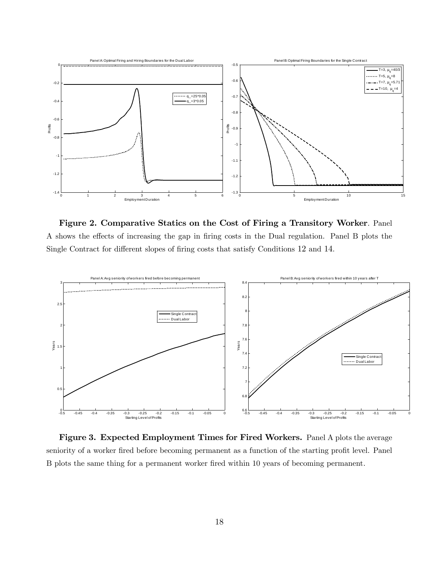

Figure 2. Comparative Statics on the Cost of Firing a Transitory Worker. Panel A shows the effects of increasing the gap in firing costs in the Dual regulation. Panel B plots the Single Contract for different slopes of firing costs that satisfy Conditions 12 and 14.



Figure 3. Expected Employment Times for Fired Workers. Panel A plots the average seniority of a worker fired before becoming permanent as a function of the starting profit level. Panel B plots the same thing for a permanent worker fired within 10 years of becoming permanent.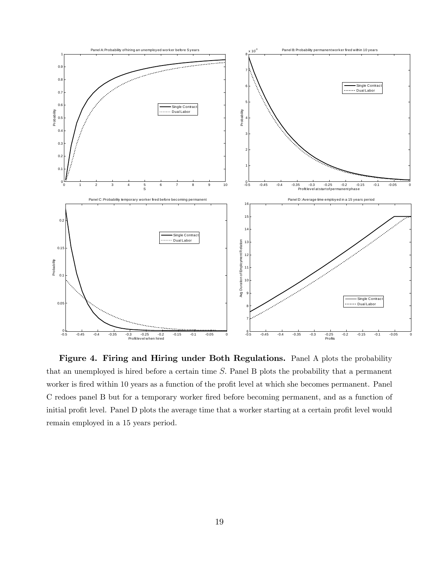

Figure 4. Firing and Hiring under Both Regulations. Panel A plots the probability that an unemployed is hired before a certain time  $S$ . Panel B plots the probability that a permanent worker is fired within 10 years as a function of the profit level at which she becomes permanent. Panel C redoes panel B but for a temporary worker Öred before becoming permanent, and as a function of initial profit level. Panel D plots the average time that a worker starting at a certain profit level would remain employed in a 15 years period.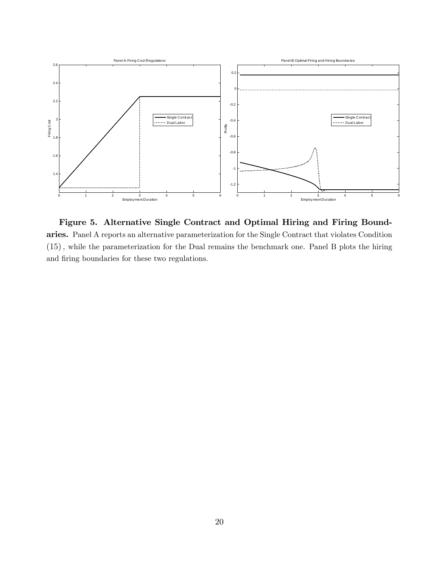

Figure 5. Alternative Single Contract and Optimal Hiring and Firing Boundaries. Panel A reports an alternative parameterization for the Single Contract that violates Condition  $(15)$ , while the parameterization for the Dual remains the benchmark one. Panel B plots the hiring and firing boundaries for these two regulations.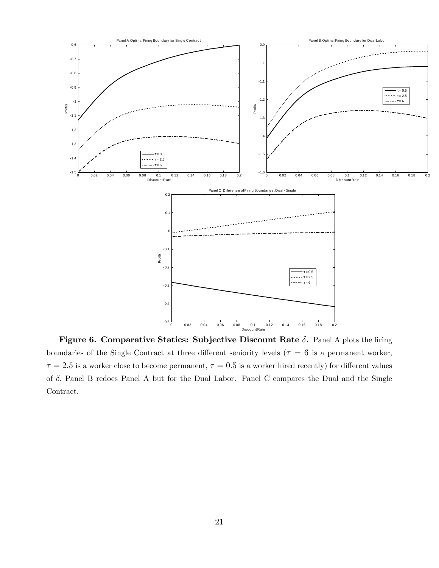

Figure 6. Comparative Statics: Subjective Discount Rate  $\delta$ . Panel A plots the firing boundaries of the Single Contract at three different seniority levels ( $\tau = 6$  is a permanent worker,  $\tau = 2.5$  is a worker close to become permanent,  $\tau = 0.5$  is a worker hired recently) for different values of  $\delta$ . Panel B redoes Panel A but for the Dual Labor. Panel C compares the Dual and the Single Contract.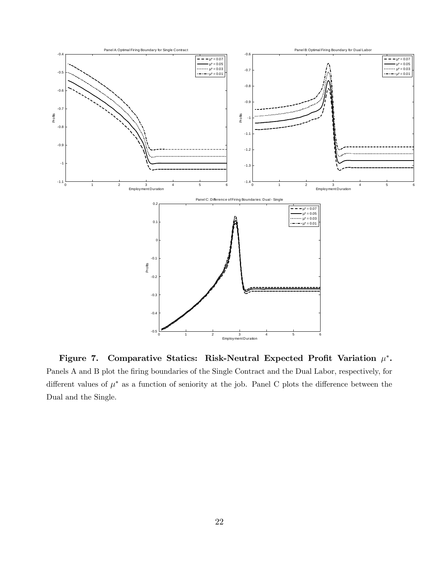

Figure 7. Comparative Statics: Risk-Neutral Expected Profit Variation  $\mu^*$ . Panels A and B plot the firing boundaries of the Single Contract and the Dual Labor, respectively, for different values of  $\mu^*$  as a function of seniority at the job. Panel C plots the difference between the Dual and the Single.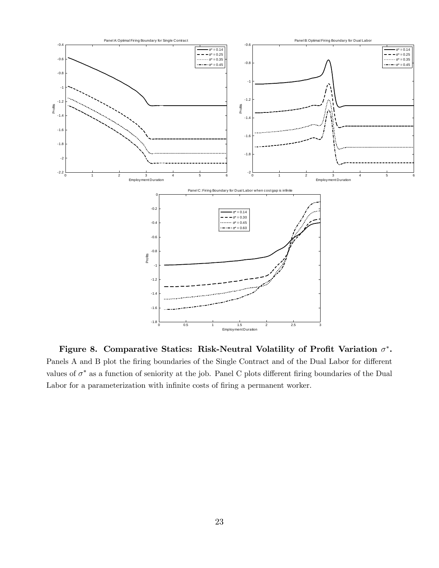

Figure 8. Comparative Statics: Risk-Neutral Volatility of Profit Variation  $\sigma^*$ . Panels A and B plot the firing boundaries of the Single Contract and of the Dual Labor for different values of  $\sigma^*$  as a function of seniority at the job. Panel C plots different firing boundaries of the Dual Labor for a parameterization with infinite costs of firing a permanent worker.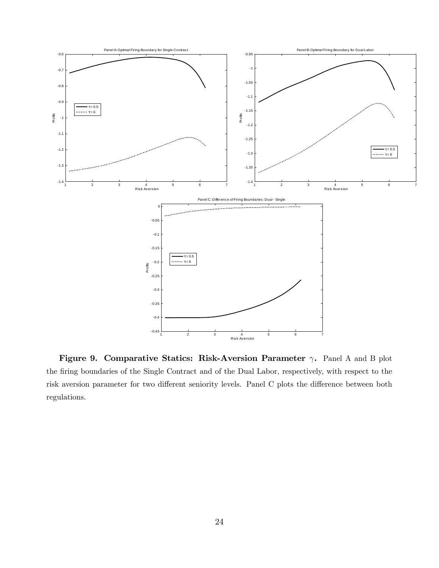

Figure 9. Comparative Statics: Risk-Aversion Parameter  $\gamma$ . Panel A and B plot the Öring boundaries of the Single Contract and of the Dual Labor, respectively, with respect to the risk aversion parameter for two different seniority levels. Panel C plots the difference between both regulations.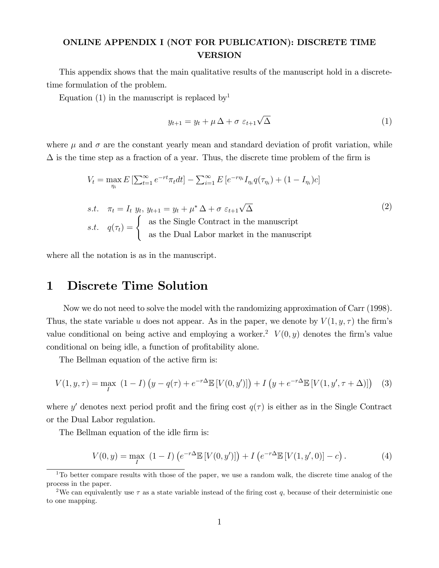### ONLINE APPENDIX I (NOT FOR PUBLICATION): DISCRETE TIME VERSION

This appendix shows that the main qualitative results of the manuscript hold in a discretetime formulation of the problem.

Equation (1) in the manuscript is replaced by<sup>1</sup>

$$
y_{t+1} = y_t + \mu \Delta + \sigma \ \varepsilon_{t+1} \sqrt{\Delta} \tag{1}
$$

where  $\mu$  and  $\sigma$  are the constant yearly mean and standard deviation of profit variation, while  $\Delta$  is the time step as a fraction of a year. Thus, the discrete time problem of the firm is

$$
V_t = \max_{\eta_i} E\left[\sum_{t=1}^{\infty} e^{-rt} \pi_t dt\right] - \sum_{i=1}^{\infty} E\left[e^{-r\eta_i} I_{\eta_i} q(\tau_{\eta_i}) + (1 - I_{\eta_i})c\right]
$$
  
s.t.  $\pi_t = I_t$   $y_t$ ,  $y_{t+1} = y_t + \mu^* \Delta + \sigma \varepsilon_{t+1} \sqrt{\Delta}$   
s.t.  $q(\tau_t) = \begin{cases} \text{as the Single Contract in the manuscript} \\ \text{as the Dual Labor market in the manuscript} \end{cases}$  (2)

where all the notation is as in the manuscript.

### 1 Discrete Time Solution

Now we do not need to solve the model with the randomizing approximation of Carr (1998). Thus, the state variable u does not appear. As in the paper, we denote by  $V(1, y, \tau)$  the firm's value conditional on being active and employing a worker.<sup>2</sup>  $V(0, y)$  denotes the firm's value conditional on being idle, a function of profitability alone.

The Bellman equation of the active firm is:

$$
V(1, y, \tau) = \max_{I} (1 - I) (y - q(\tau) + e^{-r\Delta} \mathbb{E}[V(0, y')] + I (y + e^{-r\Delta} \mathbb{E}[V(1, y', \tau + \Delta)] ) \quad (3)
$$

where y' denotes next period profit and the firing cost  $q(\tau)$  is either as in the Single Contract or the Dual Labor regulation.

The Bellman equation of the idle firm is:

$$
V(0, y) = \max_{I} (1 - I) \left( e^{-r\Delta} \mathbb{E} \left[ V(0, y') \right] \right) + I \left( e^{-r\Delta} \mathbb{E} \left[ V(1, y', 0) \right] - c \right). \tag{4}
$$

<sup>&</sup>lt;sup>1</sup>To better compare results with those of the paper, we use a random walk, the discrete time analog of the process in the paper.

<sup>&</sup>lt;sup>2</sup>We can equivalently use  $\tau$  as a state variable instead of the firing cost q, because of their deterministic one to one mapping.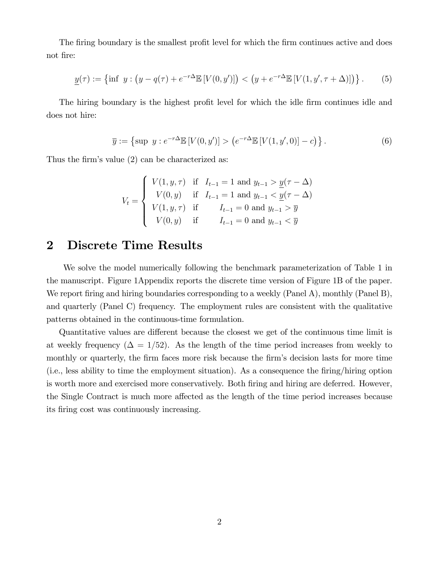The firing boundary is the smallest profit level for which the firm continues active and does not fire:

$$
\underline{y}(\tau) := \left\{ \inf \ y : \left( y - q(\tau) + e^{-r\Delta} \mathbb{E} \left[ V(0, y') \right] \right) < \left( y + e^{-r\Delta} \mathbb{E} \left[ V(1, y', \tau + \Delta) \right] \right) \right\}. \tag{5}
$$

The hiring boundary is the highest profit level for which the idle firm continues idle and does not hire:

$$
\overline{y} := \left\{ \sup y : e^{-r\Delta} \mathbb{E} \left[ V(0, y') \right] > \left( e^{-r\Delta} \mathbb{E} \left[ V(1, y', 0) \right] - c \right) \right\}. \tag{6}
$$

Thus the firm's value  $(2)$  can be characterized as:

$$
V_t = \begin{cases} V(1, y, \tau) & \text{if } I_{t-1} = 1 \text{ and } y_{t-1} > \underline{y}(\tau - \Delta) \\ V(0, y) & \text{if } I_{t-1} = 1 \text{ and } y_{t-1} < \underline{y}(\tau - \Delta) \\ V(1, y, \tau) & \text{if } I_{t-1} = 0 \text{ and } y_{t-1} > \overline{y} \\ V(0, y) & \text{if } I_{t-1} = 0 \text{ and } y_{t-1} < \overline{y} \end{cases}
$$

# 2 Discrete Time Results

We solve the model numerically following the benchmark parameterization of Table 1 in the manuscript. Figure 1Appendix reports the discrete time version of Figure 1B of the paper. We report firing and hiring boundaries corresponding to a weekly (Panel A), monthly (Panel B), and quarterly (Panel C) frequency. The employment rules are consistent with the qualitative patterns obtained in the continuous-time formulation.

Quantitative values are different because the closest we get of the continuous time limit is at weekly frequency ( $\Delta = 1/52$ ). As the length of the time period increases from weekly to monthly or quarterly, the firm faces more risk because the firm's decision lasts for more time (i.e., less ability to time the employment situation). As a consequence the Öring/hiring option is worth more and exercised more conservatively. Both firing and hiring are deferred. However, the Single Contract is much more affected as the length of the time period increases because its firing cost was continuously increasing.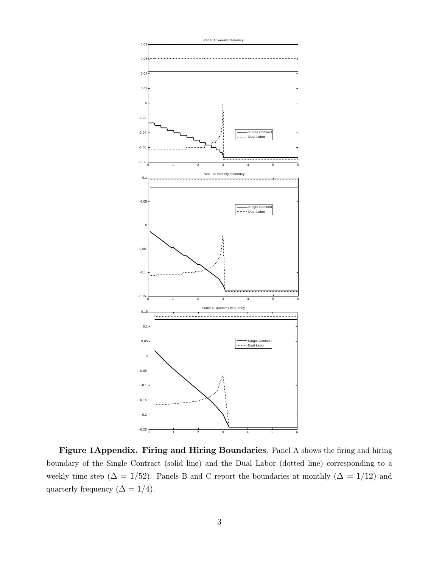

Figure 1Appendix. Firing and Hiring Boundaries. Panel A shows the firing and hiring boundary of the Single Contract (solid line) and the Dual Labor (dotted line) corresponding to a weekly time step ( $\Delta = 1/52$ ). Panels B and C report the boundaries at monthly ( $\Delta = 1/12$ ) and quarterly frequency ( $\Delta = 1/4$ ).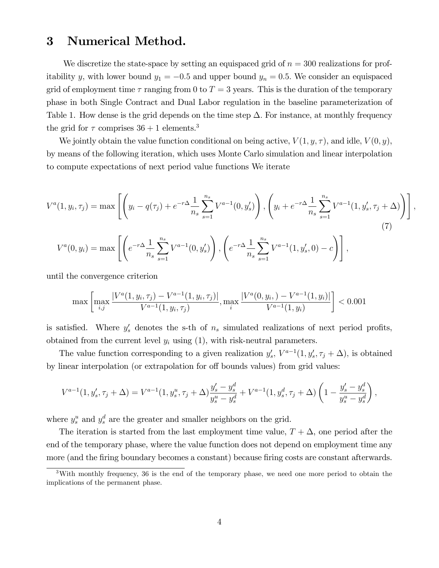## 3 Numerical Method.

We discretize the state-space by setting an equispaced grid of  $n = 300$  realizations for profitability y, with lower bound  $y_1 = -0.5$  and upper bound  $y_n = 0.5$ . We consider an equispaced grid of employment time  $\tau$  ranging from 0 to  $T = 3$  years. This is the duration of the temporary phase in both Single Contract and Dual Labor regulation in the baseline parameterization of Table 1. How dense is the grid depends on the time step  $\Delta$ . For instance, at monthly frequency the grid for  $\tau$  comprises  $36 + 1$  elements.<sup>3</sup>

We jointly obtain the value function conditional on being active,  $V(1, y, \tau)$ , and idle,  $V(0, y)$ , by means of the following iteration, which uses Monte Carlo simulation and linear interpolation to compute expectations of next period value functions We iterate

$$
V^{a}(1, y_{i}, \tau_{j}) = \max \left[ \left( y_{i} - q(\tau_{j}) + e^{-r\Delta} \frac{1}{n_{s}} \sum_{s=1}^{n_{s}} V^{a-1}(0, y_{s}') \right), \left( y_{i} + e^{-r\Delta} \frac{1}{n_{s}} \sum_{s=1}^{n_{s}} V^{a-1}(1, y_{s}', \tau_{j} + \Delta) \right) \right],
$$
  
\n
$$
V^{a}(0, y_{i}) = \max \left[ \left( e^{-r\Delta} \frac{1}{n_{s}} \sum_{s=1}^{n_{s}} V^{a-1}(0, y_{s}') \right), \left( e^{-r\Delta} \frac{1}{n_{s}} \sum_{s=1}^{n_{s}} V^{a-1}(1, y_{s}', 0) - c \right) \right],
$$
\n(7)

until the convergence criterion

$$
\max \left[ \max_{i,j} \frac{|V^a(1, y_i, \tau_j) - V^{a-1}(1, y_i, \tau_j)|}{V^{a-1}(1, y_i, \tau_j)}, \max_i \frac{|V^a(0, y_i, ) - V^{a-1}(1, y_i)|}{V^{a-1}(1, y_i)} \right] < 0.001
$$

is satisfied. Where  $y'_s$  denotes the s-th of  $n_s$  simulated realizations of next period profits, obtained from the current level  $y_i$  using  $(1)$ , with risk-neutral parameters.

The value function corresponding to a given realization  $y'_s$ ,  $V^{a-1}(1, y'_s, \tau_j + \Delta)$ , is obtained by linear interpolation (or extrapolation for off bounds values) from grid values:

$$
V^{a-1}(1, y'_s, \tau_j + \Delta) = V^{a-1}(1, y_s^u, \tau_j + \Delta) \frac{y'_s - y_s^d}{y_s^u - y_s^d} + V^{a-1}(1, y_s^d, \tau_j + \Delta) \left(1 - \frac{y'_s - y_s^d}{y_s^u - y_s^d}\right),
$$

where  $y_s^u$  and  $y_s^d$  are the greater and smaller neighbors on the grid.

The iteration is started from the last employment time value,  $T + \Delta$ , one period after the end of the temporary phase, where the value function does not depend on employment time any more (and the firing boundary becomes a constant) because firing costs are constant afterwards.

 $3$ With monthly frequency, 36 is the end of the temporary phase, we need one more period to obtain the implications of the permanent phase.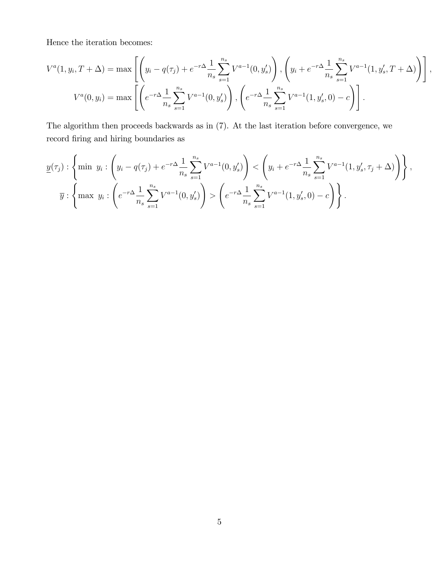Hence the iteration becomes:

$$
V^{a}(1, y_{i}, T + \Delta) = \max \left[ \left( y_{i} - q(\tau_{j}) + e^{-r\Delta} \frac{1}{n_{s}} \sum_{s=1}^{n_{s}} V^{a-1}(0, y_{s}') \right), \left( y_{i} + e^{-r\Delta} \frac{1}{n_{s}} \sum_{s=1}^{n_{s}} V^{a-1}(1, y_{s}', T + \Delta) \right) \right],
$$
  

$$
V^{a}(0, y_{i}) = \max \left[ \left( e^{-r\Delta} \frac{1}{n_{s}} \sum_{s=1}^{n_{s}} V^{a-1}(0, y_{s}') \right), \left( e^{-r\Delta} \frac{1}{n_{s}} \sum_{s=1}^{n_{s}} V^{a-1}(1, y_{s}', 0) - c \right) \right].
$$

The algorithm then proceeds backwards as in (7). At the last iteration before convergence, we record firing and hiring boundaries as

$$
\underline{y}(\tau_j) : \left\{ \min y_i : \left( y_i - q(\tau_j) + e^{-r\Delta} \frac{1}{n_s} \sum_{s=1}^{n_s} V^{a-1}(0, y_s') \right) < \left( y_i + e^{-r\Delta} \frac{1}{n_s} \sum_{s=1}^{n_s} V^{a-1}(1, y_s', \tau_j + \Delta) \right) \right\},
$$
\n
$$
\overline{y} : \left\{ \max y_i : \left( e^{-r\Delta} \frac{1}{n_s} \sum_{s=1}^{n_s} V^{a-1}(0, y_s') \right) > \left( e^{-r\Delta} \frac{1}{n_s} \sum_{s=1}^{n_s} V^{a-1}(1, y_s', 0) - c \right) \right\}.
$$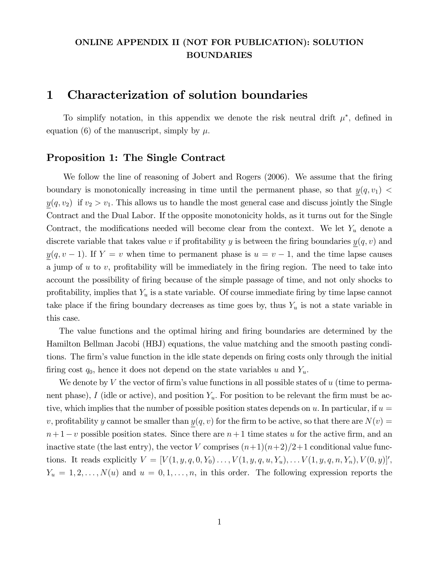### ONLINE APPENDIX II (NOT FOR PUBLICATION): SOLUTION BOUNDARIES

### 1 Characterization of solution boundaries

To simplify notation, in this appendix we denote the risk neutral drift  $\mu^*$ , defined in equation (6) of the manuscript, simply by  $\mu$ .

### Proposition 1: The Single Contract

We follow the line of reasoning of Jobert and Rogers (2006). We assume that the firing boundary is monotonically increasing in time until the permanent phase, so that  $y(q, v_1)$  <  $y(q, v_2)$  if  $v_2 > v_1$ . This allows us to handle the most general case and discuss jointly the Single Contract and the Dual Labor. If the opposite monotonicity holds, as it turns out for the Single Contract, the modifications needed will become clear from the context. We let  $Y_u$  denote a discrete variable that takes value v if profitability y is between the firing boundaries  $y(q, v)$  and  $y(q, v - 1)$ . If  $Y = v$  when time to permanent phase is  $u = v - 1$ , and the time lapse causes a jump of  $u$  to  $v$ , profitability will be immediately in the firing region. The need to take into account the possibility of firing because of the simple passage of time, and not only shocks to profitability, implies that  $Y_u$  is a state variable. Of course immediate firing by time lapse cannot take place if the firing boundary decreases as time goes by, thus  $Y_u$  is not a state variable in this case.

The value functions and the optimal hiring and firing boundaries are determined by the Hamilton Bellman Jacobi (HBJ) equations, the value matching and the smooth pasting conditions. The firm's value function in the idle state depends on firing costs only through the initial firing cost  $q_0$ , hence it does not depend on the state variables u and  $Y_u$ .

We denote by V the vector of firm's value functions in all possible states of  $u$  (time to permanent phase), I (idle or active), and position  $Y_u$ . For position to be relevant the firm must be active, which implies that the number of possible position states depends on u. In particular, if  $u =$ v, profitability y cannot be smaller than  $y(q, v)$  for the firm to be active, so that there are  $N(v) =$  $n+1-v$  possible position states. Since there are  $n+1$  time states u for the active firm, and an inactive state (the last entry), the vector V comprises  $(n+1)(n+2)/2+1$  conditional value functions. It reads explicitly  $V = [V(1, y, q, 0, Y_0) \dots, V(1, y, q, u, Y_u), \dots V(1, y, q, n, Y_n), V(0, y)]'$ ,  $Y_u = 1, 2, \ldots, N(u)$  and  $u = 0, 1, \ldots, n$ , in this order. The following expression reports the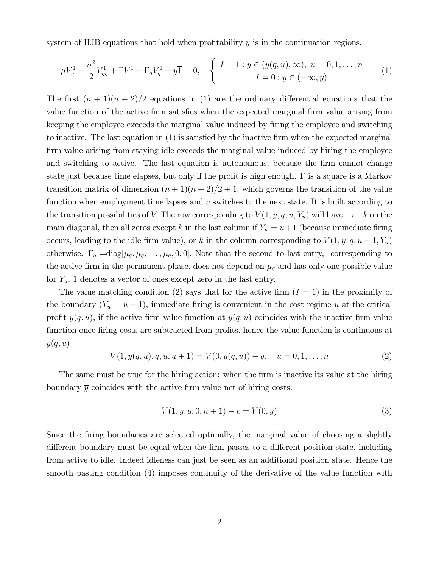system of HJB equations that hold when profitability  $y$  is in the continuation regions.

$$
\mu V_y^1 + \frac{\sigma^2}{2} V_{yy}^1 + \Gamma V^1 + \Gamma_q V_q^1 + y \overline{1} = 0, \quad \begin{cases} I = 1 : y \in (\underline{y}(q, u), \infty), \ u = 0, 1, \dots, n \\ I = 0 : y \in (-\infty, \overline{y}) \end{cases} (1)
$$

The first  $(n + 1)(n + 2)/2$  equations in (1) are the ordinary differential equations that the value function of the active firm satisfies when the expected marginal firm value arising from keeping the employee exceeds the marginal value induced by firing the employee and switching to inactive. The last equation in  $(1)$  is satisfied by the inactive firm when the expected marginal firm value arising from staying idle exceeds the marginal value induced by hiring the employee and switching to active. The last equation is autonomous, because the firm cannot change state just because time elapses, but only if the profit is high enough.  $\Gamma$  is a square is a Markov transition matrix of dimension  $(n+1)(n+2)/2 + 1$ , which governs the transition of the value function when employment time lapses and  $u$  switches to the next state. It is built according to the transition possibilities of V. The row corresponding to  $V(1, y, q, u, Y_u)$  will have  $-r-k$  on the main diagonal, then all zeros except k in the last column if  $Y_u = u + 1$  (because immediate firing occurs, leading to the idle firm value), or k in the column corresponding to  $V(1, y, q, u+1, Y_u)$ otherwise.  $\Gamma_q = \text{diag}[\mu_q, \mu_q, \dots, \mu_q, 0, 0]$ . Note that the second to last entry, corresponding to the active firm in the permanent phase, does not depend on  $\mu_q$  and has only one possible value for  $Y_u$ .  $\overline{1}$  denotes a vector of ones except zero in the last entry.

The value matching condition (2) says that for the active firm  $(I = 1)$  in the proximity of the boundary  $(Y_u = u + 1)$ , immediate firing is convenient in the cost regime u at the critical profit  $y(q, u)$ , if the active firm value function at  $y(q, u)$  coincides with the inactive firm value function once firing costs are subtracted from profits, hence the value function is continuous at  $y(q, u)$ 

$$
V(1, \underline{y}(q, u), q, u, u+1) = V(0, \underline{y}(q, u)) - q, \quad u = 0, 1, \dots, n
$$
\n(2)

The same must be true for the hiring action: when the firm is inactive its value at the hiring boundary  $\overline{y}$  coincides with the active firm value net of hiring costs:

$$
V(1, \bar{y}, q, 0, n+1) - c = V(0, \bar{y})
$$
\n(3)

Since the firing boundaries are selected optimally, the marginal value of choosing a slightly different boundary must be equal when the firm passes to a different position state, including from active to idle. Indeed idleness can just be seen as an additional position state. Hence the smooth pasting condition (4) imposes continuity of the derivative of the value function with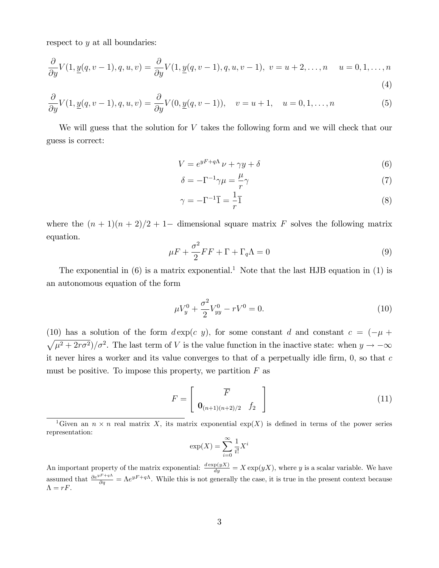respect to y at all boundaries:

$$
\frac{\partial}{\partial y}V(1, \underline{y}(q, v-1), q, u, v) = \frac{\partial}{\partial y}V(1, \underline{y}(q, v-1), q, u, v-1), \ v = u+2, \dots, n \quad u = 0, 1, \dots, n
$$
\n(4)

$$
\frac{\partial}{\partial y}V(1, \underline{y}(q, v-1), q, u, v) = \frac{\partial}{\partial y}V(0, \underline{y}(q, v-1)), \quad v = u+1, \quad u = 0, 1, \dots, n
$$
\n(5)

We will guess that the solution for V takes the following form and we will check that our guess is correct:

$$
V = e^{yF + q\Lambda} \nu + \gamma y + \delta \tag{6}
$$

$$
\delta = -\Gamma^{-1}\gamma\mu = \frac{\mu}{r}\gamma\tag{7}
$$

$$
\gamma = -\Gamma^{-1}\overline{1} = \frac{1}{r}\overline{1}
$$
\n(8)

where the  $(n + 1)(n + 2)/2 + 1$  dimensional square matrix F solves the following matrix equation.

$$
\mu F + \frac{\sigma^2}{2} FF + \Gamma + \Gamma_q \Lambda = 0 \tag{9}
$$

The exponential in  $(6)$  is a matrix exponential.<sup>1</sup> Note that the last HJB equation in (1) is an autonomous equation of the form

$$
\mu V_y^0 + \frac{\sigma^2}{2} V_{yy}^0 - rV^0 = 0.
$$
\n(10)

(10) has a solution of the form  $d \exp(c y)$ , for some constant d and constant  $c = (-\mu +$  $\sqrt{\mu^2 + 2r\sigma^2}/\sigma^2$ . The last term of V is the value function in the inactive state: when  $y \to -\infty$ it never hires a worker and its value converges to that of a perpetually idle firm,  $0$ , so that c must be positive. To impose this property, we partition  $F$  as

$$
F = \left[ \begin{array}{c} \overline{F} \\ \mathbf{0}_{(n+1)(n+2)/2} & f_2 \end{array} \right] \tag{11}
$$

$$
\exp(X) = \sum_{i=0}^{\infty} \frac{1}{i!} X^i
$$

<sup>&</sup>lt;sup>1</sup>Given an  $n \times n$  real matrix X, its matrix exponential  $exp(X)$  is defined in terms of the power series representation:

An important property of the matrix exponential:  $\frac{d \exp(yX)}{dy} = X \exp(yX)$ , where y is a scalar variable. We have assumed that  $\frac{\partial e^{yF+q\Lambda}}{\partial q} = \Lambda e^{yF+q\Lambda}$ . While this is not generally the case, it is true in the present context because  $\Lambda = rF.$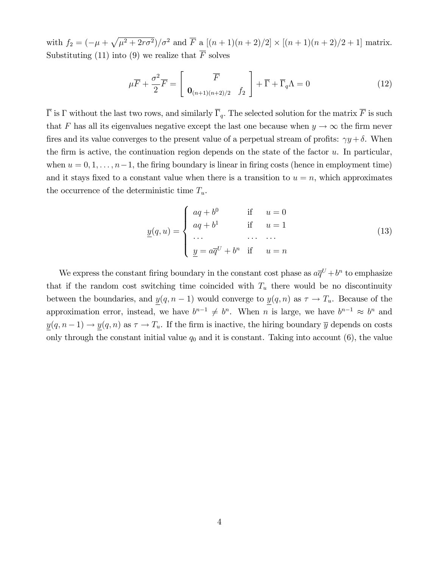with  $f_2 = \left( -\mu + \sqrt{\mu^2 + 2r\sigma^2} \right) / \sigma^2$  and  $\overline{F}$  a  $[(n+1)(n+2)/2] \times [(n+1)(n+2)/2 + 1]$  matrix. Substituting (11) into (9) we realize that  $\overline{F}$  solves

$$
\mu \overline{F} + \frac{\sigma^2}{2} \overline{F} = \begin{bmatrix} \overline{F} \\ \mathbf{0}_{(n+1)(n+2)/2} & f_2 \end{bmatrix} + \overline{\Gamma} + \overline{\Gamma}_q \Lambda = 0 \qquad (12)
$$

 $\overline{\Gamma}$  is  $\Gamma$  without the last two rows, and similarly  $\overline{\Gamma}_q$ . The selected solution for the matrix  $\overline{F}$  is such that F has all its eigenvalues negative except the last one because when  $y \to \infty$  the firm never fires and its value converges to the present value of a perpetual stream of profits:  $\gamma y + \delta$ . When the firm is active, the continuation region depends on the state of the factor  $u$ . In particular, when  $u = 0, 1, \ldots, n-1$ , the firing boundary is linear in firing costs (hence in employment time) and it stays fixed to a constant value when there is a transition to  $u = n$ , which approximates the occurrence of the deterministic time  $T_u$ .

$$
\underline{y}(q, u) = \begin{cases}\naq + b^0 & \text{if } u = 0 \\
aq + b^1 & \text{if } u = 1 \\
\cdots & \cdots & \cdots \\
\underline{y} = a\overline{q}^U + b^n & \text{if } u = n\n\end{cases}
$$
\n(13)

We express the constant firing boundary in the constant cost phase as  $a\overline{q}^U + b^n$  to emphasize that if the random cost switching time coincided with  $T_u$  there would be no discontinuity between the boundaries, and  $y(q, n - 1)$  would converge to  $y(q, n)$  as  $\tau \to T_u$ . Because of the approximation error, instead, we have  $b^{n-1} \neq b^n$ . When n is large, we have  $b^{n-1} \approx b^n$  and  $y(q, n-1) \to y(q, n)$  as  $\tau \to T_u$ . If the firm is inactive, the hiring boundary  $\overline{y}$  depends on costs only through the constant initial value  $q_0$  and it is constant. Taking into account  $(6)$ , the value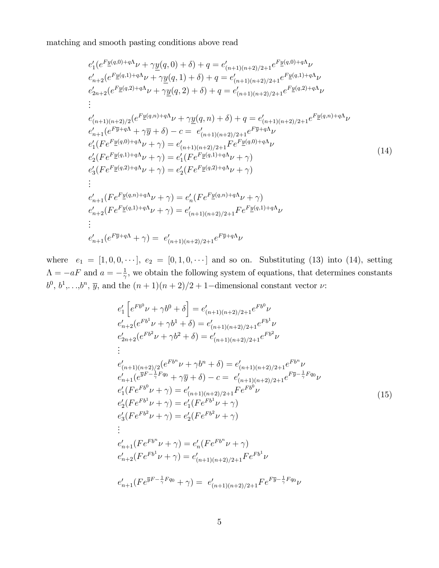matching and smooth pasting conditions above read

$$
e'_{1}(e^{F_{\underline{y}}(q,0)+q\Lambda}\nu+\gamma\underline{y}(q,0)+\delta)+q=e'_{(n+1)(n+2)/2+1}e^{F_{\underline{y}}(q,0)+q\Lambda}\nu
$$
  
\n
$$
e'_{n+2}(e^{F_{\underline{y}}(q,1)+q\Lambda}\nu+\gamma\underline{y}(q,1)+\delta)+q=e'_{(n+1)(n+2)/2+1}e^{F_{\underline{y}}(q,1)+q\Lambda}\nu
$$
  
\n
$$
e'_{2n+2}(e^{F_{\underline{y}}(q,2)+q\Lambda}\nu+\gamma\underline{y}(q,2)+\delta)+q=e'_{(n+1)(n+2)/2+1}e^{F_{\underline{y}}(q,2)+q\Lambda}\nu
$$
  
\n
$$
\vdots
$$
  
\n
$$
e'_{(n+1)(n+2)/2}(e^{F_{\underline{y}}(q,n)+q\Lambda}\nu+\gamma\underline{y}(q,n)+\delta)+q=e'_{(n+1)(n+2)/2+1}e^{F_{\underline{y}}(q,n)+q\Lambda}\nu
$$
  
\n
$$
e'_{n+1}(e^{F_{\overline{y}}+q\Lambda}+\gamma\overline{y}+\delta)-c=e'_{(n+1)(n+2)/2+1}e^{F_{\overline{y}}+q\Lambda}\nu
$$
  
\n
$$
e'_{1}(Fe^{F_{\underline{y}}(q,0)+q\Lambda}\nu+\gamma)=e'_{(n+1)(n+2)/2+1}Fe^{F_{\underline{y}}(q,0)+q\Lambda}\nu
$$
  
\n
$$
e'_{2}(Fe^{F_{\underline{y}}(q,1)+q\Lambda}\nu+\gamma)=e'_{1}(Fe^{F_{\underline{y}}(q,1)+q\Lambda}\nu+\gamma)
$$
  
\n
$$
e'_{3}(Fe^{F_{\underline{y}}(q,2)+q\Lambda}\nu+\gamma)=e'_{2}(Fe^{F_{\underline{y}}(q,2)+q\Lambda}\nu+\gamma)
$$
  
\n
$$
\vdots
$$
  
\n
$$
e'_{n+1}(Fe^{F_{\underline{y}}(q,n)+q\Lambda}\nu+\gamma)=e'_{n}(Fe^{F_{\underline{y}}(q,n)+q\Lambda}\nu+\gamma)
$$
  
\n
$$
\vdots
$$
  
\n
$$
e'_{n+2}(Fe^{F_{
$$

where  $e_1 = [1, 0, 0, \cdots], e_2 = [0, 1, 0, \cdots]$  and so on. Substituting (13) into (14), setting  $\Lambda = -aF$  and  $a = -\frac{1}{\gamma}$  $\frac{1}{\gamma}$ , we obtain the following system of equations, that determines constants  $b^0, b^1,...,b^n$ ,  $\overline{y}$ , and the  $(n+1)(n+2)/2+1$ -dimensional constant vector  $\nu$ :

$$
e'_{1} \left[ e^{Fb^{0}} \nu + \gamma b^{0} + \delta \right] = e'_{(n+1)(n+2)/2+1} e^{Fb^{0}} \nu
$$
  
\n
$$
e'_{n+2} (e^{Fb^{1}} \nu + \gamma b^{1} + \delta) = e'_{(n+1)(n+2)/2+1} e^{Fb^{1}} \nu
$$
  
\n
$$
e'_{2n+2} (e^{Fb^{2}} \nu + \gamma b^{2} + \delta) = e'_{(n+1)(n+2)/2+1} e^{Fb^{2}} \nu
$$
  
\n
$$
\vdots
$$
  
\n
$$
e'_{(n+1)(n+2)/2} (e^{Fb^{n}} \nu + \gamma b^{n} + \delta) = e'_{(n+1)(n+2)/2+1} e^{Fb^{n}} \nu
$$
  
\n
$$
e'_{n+1} (e^{\overline{y}F - \frac{1}{\gamma}Fq_{0}} + \gamma \overline{y} + \delta) - c = e'_{(n+1)(n+2)/2+1} e^{F\overline{y} - \frac{1}{\gamma}Fq_{0}} \nu
$$
  
\n
$$
e'_{1} (F e^{Fb^{0}} \nu + \gamma) = e'_{(n+1)(n+2)/2+1} F e^{Fb^{0}} \nu
$$
  
\n
$$
e'_{2} (F e^{Fb^{1}} \nu + \gamma) = e'_{1} (F e^{Fb^{1}} \nu + \gamma)
$$
  
\n
$$
e'_{3} (F e^{Fb^{2}} \nu + \gamma) = e'_{2} (F e^{Fb^{2}} \nu + \gamma)
$$
  
\n
$$
\vdots
$$
  
\n
$$
e'_{n+1} (F e^{Fb^{n}} \nu + \gamma) = e'_{n+1)(n+2)/2+1} F e^{Fb^{1}} \nu
$$
  
\n
$$
e'_{n+2} (F e^{Fb^{1}} \nu + \gamma) = e'_{(n+1)(n+2)/2+1} F e^{Fb^{1}} \nu
$$
  
\n
$$
e'_{n+1} (F e^{\overline{y}F - \frac{1}{\gamma}Fq_{0}} + \gamma) = e'_{(n+1)(n+2)/2+1} F e^{F\overline{y} - \frac{1}{\gamma}F
$$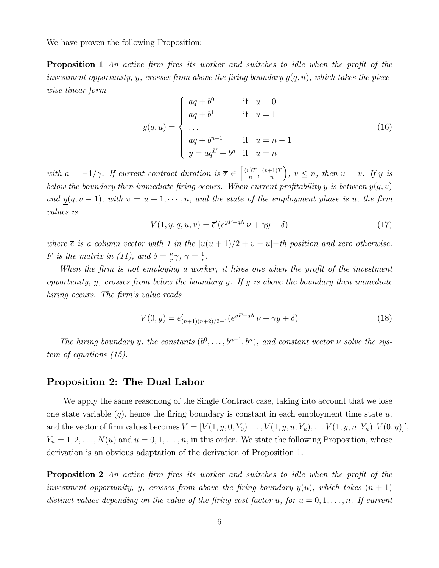We have proven the following Proposition:

**Proposition 1** An active firm fires its worker and switches to idle when the profit of the investment opportunity, y, crosses from above the firing boundary  $y(q, u)$ , which takes the piecewise linear form

$$
\underline{y}(q, u) = \begin{cases}\naq + b^{0} & \text{if } u = 0 \\
aq + b^{1} & \text{if } u = 1 \\
... & \\
aq + b^{n-1} & \text{if } u = n - 1 \\
\overline{y} = a\overline{q}^{U} + b^{n} & \text{if } u = n\n\end{cases}
$$
\n(16)

with  $a = -1/\gamma$ . If current contract duration is  $\overline{\tau} \in \left[\frac{(v)T}{n}\right]$  $\frac{(v+1)T}{n}$ ,  $\frac{(v+1)T}{n}$ n  $\Big), v \leq n, \text{ then } u = v. \text{ If } y \text{ is }$ below the boundary then immediate firing occurs. When current profitability y is between  $y(q, v)$ and  $y(q, v - 1)$ , with  $v = u + 1, \dots, n$ , and the state of the employment phase is u, the firm values is

$$
V(1, y, q, u, v) = \overline{e}'(e^{yF + q\Lambda}v + \gamma y + \delta)
$$
\n(17)

where  $\overline{e}$  is a column vector with 1 in the  $[u(u + 1)/2 + v - u]-$ th position and zero otherwise. F is the matrix in (11), and  $\delta = \frac{\mu}{r}$  $\frac{\mu}{r}\gamma,\ \gamma=\frac{1}{r}$  $\frac{1}{r}$ .

When the firm is not employing a worker, it hires one when the profit of the investment opportunity, y, crosses from below the boundary  $\overline{y}$ . If y is above the boundary then immediate hiring occurs. The firm's value reads

$$
V(0, y) = e'_{(n+1)(n+2)/2+1}(e^{yF+q\Lambda}\nu + \gamma y + \delta)
$$
\n(18)

The hiring boundary  $\overline{y}$ , the constants  $(b^0, \ldots, b^{n-1}, b^n)$ , and constant vector  $\nu$  solve the system of equations (15).

### Proposition 2: The Dual Labor

We apply the same reasonong of the Single Contract case, taking into account that we lose one state variable  $(q)$ , hence the firing boundary is constant in each employment time state u, and the vector of firm values becomes  $V = [V(1, y, 0, Y_0) \dots, V(1, y, u, Y_u), \dots V(1, y, n, Y_n), V(0, y)]'$ ,  $Y_u = 1, 2, \ldots, N(u)$  and  $u = 0, 1, \ldots, n$ , in this order. We state the following Proposition, whose derivation is an obvious adaptation of the derivation of Proposition 1.

**Proposition 2** An active firm fires its worker and switches to idle when the profit of the investment opportunity, y, crosses from above the firing boundary  $y(u)$ , which takes  $(n + 1)$ distinct values depending on the value of the firing cost factor u, for  $u = 0, 1, \ldots, n$ . If current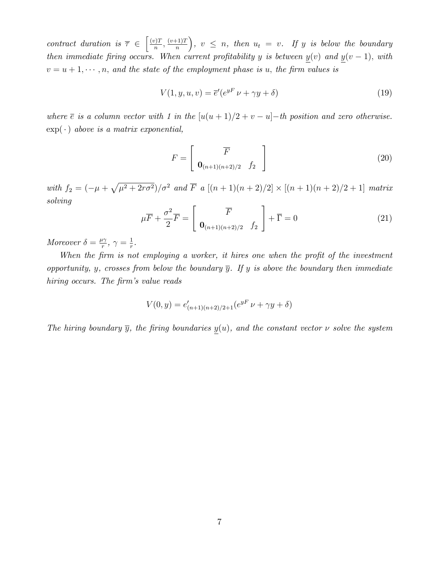contract duration is  $\overline{\tau} \in \left[\frac{(v)T}{n}\right]$  $\frac{(v+1)T}{n}, \frac{(v+1)T}{n}$ n  $\Big), v \leq n$ , then  $u_t = v$ . If y is below the boundary then immediate firing occurs. When current profitability y is between  $\underline{y}(v)$  and  $\underline{y}(v-1)$ , with  $v = u + 1, \dots, n$ , and the state of the employment phase is u, the firm values is

$$
V(1, y, u, v) = \overline{e}'(e^{yF} v + \gamma y + \delta)
$$
\n(19)

where  $\overline{e}$  is a column vector with 1 in the  $[u(u + 1)/2 + v - u]-$ th position and zero otherwise.  $\exp(\cdot)$  above is a matrix exponential,

$$
F = \left[ \begin{array}{c} \overline{F} \\ \mathbf{0}_{(n+1)(n+2)/2} & f_2 \end{array} \right] \tag{20}
$$

with  $f_2 = \left( -\mu + \sqrt{\mu^2 + 2r\sigma^2} \right) / \sigma^2$  and  $\overline{F}$  a  $[(n+1)(n+2)/2] \times [(n+1)(n+2)/2 + 1]$  matrix solving

$$
\mu \overline{F} + \frac{\sigma^2}{2} \overline{F} = \begin{bmatrix} \overline{F} \\ \mathbf{0}_{(n+1)(n+2)/2} & f_2 \end{bmatrix} + \overline{\Gamma} = 0 \tag{21}
$$

Moreover  $\delta = \frac{\mu \gamma}{r}$  $\frac{\iota\gamma}{r},\ \gamma=\frac{1}{r}$  $\frac{1}{r}$ .

When the firm is not employing a worker, it hires one when the profit of the investment opportunity, y, crosses from below the boundary  $\overline{y}$ . If y is above the boundary then immediate hiring occurs. The firm's value reads

$$
V(0, y) = e'_{(n+1)(n+2)/2+1}(e^{yF}\nu + \gamma y + \delta)
$$

The hiring boundary  $\overline{y}$ , the firing boundaries  $y(u)$ , and the constant vector  $\nu$  solve the system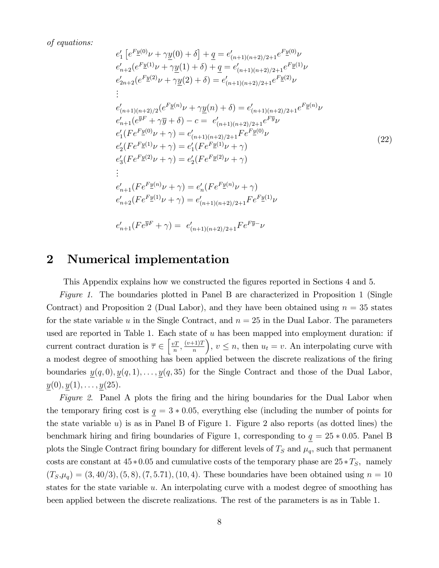of equations:

$$
e'_1[e^{F\underline{y}(0)}\nu + \gamma \underline{y}(0) + \delta] + \underline{q} = e'_{(n+1)(n+2)/2+1}e^{F\underline{y}(0)}\nu
$$
  
\n
$$
e'_{n+2}(e^{F\underline{y}(1)}\nu + \gamma \underline{y}(1) + \delta) + \underline{q} = e'_{(n+1)(n+2)/2+1}e^{F\underline{y}(1)}\nu
$$
  
\n
$$
e'_{2n+2}(e^{F\underline{y}(2)}\nu + \gamma \underline{y}(2) + \delta) = e'_{(n+1)(n+2)/2+1}e^{F\underline{y}(2)}\nu
$$
  
\n
$$
\vdots
$$
  
\n
$$
e'_{(n+1)(n+2)/2}(e^{F\underline{y}(n)}\nu + \gamma \underline{y}(n) + \delta) = e'_{(n+1)(n+2)/2+1}e^{F\underline{y}(n)}\nu
$$
  
\n
$$
e'_{n+1}(e^{\overline{y}F} + \gamma \overline{y} + \delta) - c = e'_{(n+1)(n+2)/2+1}e^{F\underline{y}\nu}
$$
  
\n
$$
e'_1(Fe^{F\underline{y}(0)}\nu + \gamma) = e'_{(n+1)(n+2)/2+1}Fe^{F\underline{y}(0)}\nu
$$
  
\n
$$
e'_2(Fe^{F\underline{y}(1)}\nu + \gamma) = e'_1(Fe^{F\underline{y}(1)}\nu + \gamma)
$$
  
\n
$$
e'_3(Fe^{F\underline{y}(2)}\nu + \gamma) = e'_2(Fe^{F\underline{y}(2)}\nu + \gamma)
$$
  
\n
$$
\vdots
$$
  
\n
$$
e'_{n+1}(Fe^{F\underline{y}(n)}\nu + \gamma) = e'_{n}(Fe^{F\underline{y}(n)}\nu + \gamma)
$$
  
\n
$$
e'_{n+2}(Fe^{F\underline{y}(1)}\nu + \gamma) = e'_{(n+1)(n+2)/2+1}Fe^{F\underline{y}(1)}\nu
$$
  
\n
$$
e'_{n+1}(Fe^{\overline{y}F} + \gamma) = e'_{(n+1)(n+2)/2+1}Fe^{F\underline{
$$

## 2 Numerical implementation

This Appendix explains how we constructed the figures reported in Sections 4 and 5.

Figure 1. The boundaries plotted in Panel B are characterized in Proposition 1 (Single Contract) and Proposition 2 (Dual Labor), and they have been obtained using  $n = 35$  states for the state variable u in the Single Contract, and  $n = 25$  in the Dual Labor. The parameters used are reported in Table 1. Each state of  $u$  has been mapped into employment duration: if current contract duration is  $\overline{\tau} \in \left[\frac{vT}{n}\right]$  $\frac{v}{n}$ ,  $\frac{(v+1)T}{n}$ n ),  $v \leq n$ , then  $u_t = v$ . An interpolating curve with a modest degree of smoothing has been applied between the discrete realizations of the firing boundaries  $\underline{y}(q, 0), \underline{y}(q, 1), \ldots, \underline{y}(q, 35)$  for the Single Contract and those of the Dual Labor,  $y(0), y(1), \ldots, y(25).$ 

Figure 2. Panel A plots the firing and the hiring boundaries for the Dual Labor when the temporary firing cost is  $q = 3 * 0.05$ , everything else (including the number of points for the state variable u) is as in Panel B of Figure 1. Figure 2 also reports (as dotted lines) the benchmark hiring and firing boundaries of Figure 1, corresponding to  $q = 25 * 0.05$ . Panel B plots the Single Contract firing boundary for different levels of  $T<sub>S</sub>$  and  $\mu<sub>q</sub>$ , such that permanent costs are constant at  $45 * 0.05$  and cumulative costs of the temporary phase are  $25 * T<sub>S</sub>$ , namely  $(T_S,\mu_q) = (3, 40/3), (5, 8), (7, 5.71), (10, 4).$  These boundaries have been obtained using  $n = 10$ states for the state variable u. An interpolating curve with a modest degree of smoothing has been applied between the discrete realizations. The rest of the parameters is as in Table 1.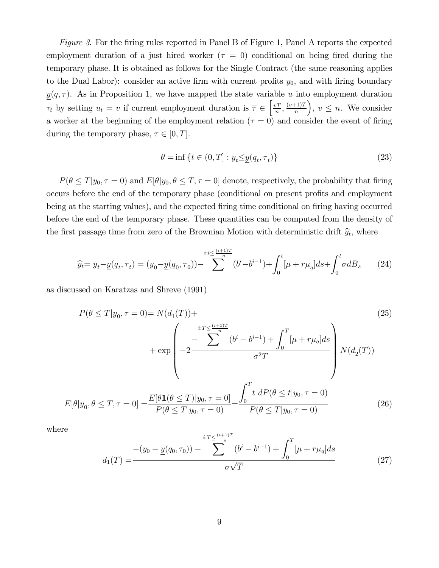Figure 3. For the firing rules reported in Panel B of Figure 1, Panel A reports the expected employment duration of a just hired worker ( $\tau = 0$ ) conditional on being fired during the temporary phase: It is obtained as follows for the Single Contract (the same reasoning applies to the Dual Labor): consider an active firm with current profits  $y_0$ , and with firing boundary  $y(q, \tau)$ . As in Proposition 1, we have mapped the state variable u into employment duration  $\tau_t$  by setting  $u_t = v$  if current employment duration is  $\overline{\tau} \in \left[\frac{vT}{n}\right]$  $\frac{v}{n}$ ,  $\frac{(v+1)T}{n}$ n ),  $v \leq n$ . We consider a worker at the beginning of the employment relation  $(\tau = 0)$  and consider the event of firing during the temporary phase,  $\tau \in [0, T]$ .

$$
\theta = \inf \left\{ t \in (0, T] : y_t \le \underline{y}(q_t, \tau_t) \right\} \tag{23}
$$

 $P(\theta \leq T | y_0, \tau = 0)$  and  $E[\theta | y_0, \theta \leq T, \tau = 0]$  denote, respectively, the probability that firing occurs before the end of the temporary phase (conditional on present profits and employment being at the starting values), and the expected firing time conditional on firing having occurred before the end of the temporary phase. These quantities can be computed from the density of the first passage time from zero of the Brownian Motion with deterministic drift  $\hat{y}_t$ , where

$$
\widehat{y}_t = y_t - \underline{y}(q_t, \tau_t) = (y_0 - \underline{y}(q_0, \tau_0)) - \sum_{k=0}^{i:t \leq \frac{(i+1)T}{n}} (b^i - b^{i-1}) + \int_0^t [\mu + r\mu_q]ds + \int_0^t \sigma dB_s \qquad (24)
$$

as discussed on Karatzas and Shreve (1991)

$$
P(\theta \le T | y_0, \tau = 0) = N(d_1(T)) + \frac{\sum_{i:T \le \frac{(i+1)T}{n}}^{i:T \le \frac{(i+1)T}{n}} (b^i - b^{i-1}) + \int_0^T [\mu + r\mu_q] ds}{-\sum_{i=1}^{T} (b^i - b^{i-1}) + \int_0^T [\mu + r\mu_q] ds} N(d_2(T))
$$
\n
$$
E[\theta | y_0, \theta \le T, \tau = 0] = \frac{E[\theta \mathbf{1}(\theta \le T) | y_0, \tau = 0]}{P(\theta \le T | y_0, \tau = 0)} = \frac{\int_0^T t \, dP(\theta \le t | y_0, \tau = 0)}{P(\theta \le T | y_0, \tau = 0)} \tag{26}
$$

where

$$
d_1(T) = \frac{-\left(y_0 - \underline{y}(q_0, \tau_0)\right) - \sum_{\sigma \sqrt{T}}^{i:T \leq \frac{(i+1)T}{n}} (b^i - b^{i-1}) + \int_0^T \left[\mu + r\mu_q\right] ds}{\sigma \sqrt{T}}
$$
(27)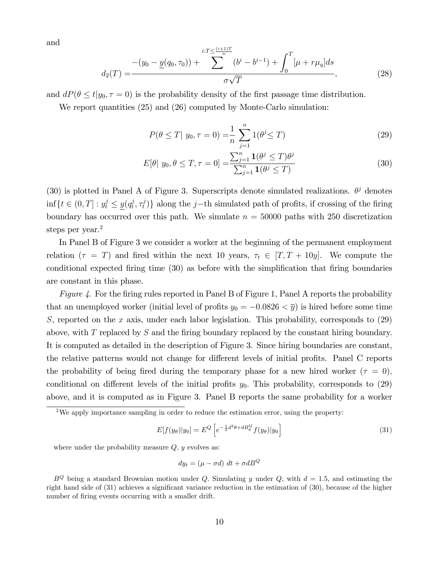and

$$
d_2(T) = \frac{-\left(y_0 - \underline{y}(q_0, \tau_0)\right) + \sum_{\sigma \sqrt{T}}^{i:T \leq \frac{(i+1)T}{n}} (b^i - b^{i-1}) + \int_0^T \left[\mu + r\mu_q\right] ds}{\sigma \sqrt{T}},\tag{28}
$$

and  $dP(\theta \leq t|y_0, \tau = 0)$  is the probability density of the first passage time distribution.

We report quantities (25) and (26) computed by Monte-Carlo simulation:

$$
P(\theta \le T | y_0, \tau = 0) = \frac{1}{n} \sum_{j=1}^{n} 1(\theta^j \le T)
$$
\n(29)

$$
E[\theta | y_0, \theta \le T, \tau = 0] = \frac{\sum_{j=1}^n \mathbf{1}(\theta^j \le T)\theta^j}{\sum_{j=1}^n \mathbf{1}(\theta^j \le T)}
$$
(30)

(30) is plotted in Panel A of Figure 3. Superscripts denote simulated realizations.  $\theta^j$  denotes  $\inf\{t \in (0, T] : y_t^j \le \underline{y}(q_t^j) \}$  $_i^j, \tau_t^j$  $\{t_i^j\}$  along the j-th simulated path of profits, if crossing of the firing boundary has occurred over this path. We simulate  $n = 50000$  paths with 250 discretization steps per year.<sup>2</sup>

In Panel B of Figure 3 we consider a worker at the beginning of the permanent employment relation  $(\tau = T)$  and fired within the next 10 years,  $\tau_t \in [T, T + 10y]$ . We compute the conditional expected firing time (30) as before with the simplification that firing boundaries are constant in this phase.

Figure 4. For the firing rules reported in Panel B of Figure 1, Panel A reports the probability that an unemployed worker (initial level of profits  $y_0 = -0.0826 < \overline{y}$ ) is hired before some time S, reported on the x axis, under each labor legislation. This probability, corresponds to  $(29)$ above, with T replaced by S and the firing boundary replaced by the constant hiring boundary. It is computed as detailed in the description of Figure 3. Since hiring boundaries are constant, the relative patterns would not change for different levels of initial profits. Panel C reports the probability of being fired during the temporary phase for a new hired worker  $(\tau = 0)$ , conditional on different levels of the initial profits  $y_0$ . This probability, corresponds to (29) above, and it is computed as in Figure 3. Panel B reports the same probability for a worker

$$
E[f(y_{\theta})|y_0] = E^Q \left[ e^{-\frac{1}{2}d^2\theta + dB_{\theta}^Q} f(y_{\theta})|y_0 \right]
$$
\n(31)

where under the probability measure  $Q, y$  evolves as:

$$
dy_t = (\mu - \sigma d) \, dt + \sigma dB^Q
$$

<sup>&</sup>lt;sup>2</sup>We apply importance sampling in order to reduce the estimation error, using the property:

 $B^Q$  being a standard Brownian motion under Q. Simulating y under Q, with  $d = 1.5$ , and estimating the right hand side of (31) achieves a significant variance reduction in the estimation of (30), because of the higher number of firing events occurring with a smaller drift.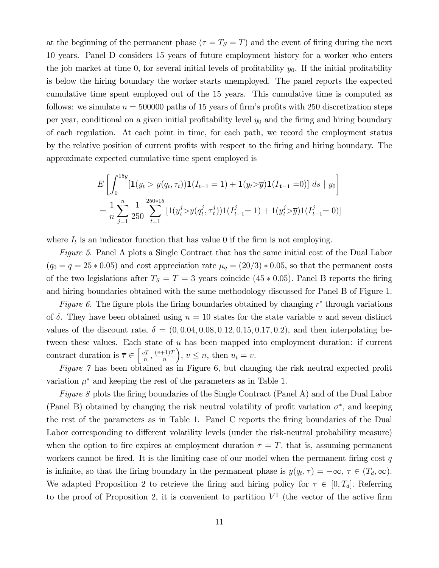at the beginning of the permanent phase  $(\tau = T_S = \overline{T})$  and the event of firing during the next 10 years. Panel D considers 15 years of future employment history for a worker who enters the job market at time 0, for several initial levels of profitability  $y_0$ . If the initial profitability is below the hiring boundary the worker starts unemployed. The panel reports the expected cumulative time spent employed out of the 15 years. This cumulative time is computed as follows: we simulate  $n = 500000$  paths of 15 years of firm's profits with 250 discretization steps per year, conditional on a given initial profitability level  $y_0$  and the firing and hiring boundary of each regulation. At each point in time, for each path, we record the employment status by the relative position of current profits with respect to the firing and hiring boundary. The approximate expected cumulative time spent employed is

$$
E\left[\int_0^{15y} [\mathbf{1}(y_t > \underline{y}(q_t, \tau_t)) \mathbf{1}(I_{t-1} = 1) + \mathbf{1}(y_t > \overline{y}) \mathbf{1}(I_{t-1} = 0)] ds \mid y_0\right]
$$
  
=  $\frac{1}{n} \sum_{j=1}^n \frac{1}{250} \sum_{t=1}^{250*15} [\mathbf{1}(y_t^j > \underline{y}(q_t^j, \tau_t^j)) \mathbf{1}(I_{t-1}^j = 1) + \mathbf{1}(y_t^j > \overline{y}) \mathbf{1}(I_{t-1}^j = 0)]$ 

where  $I_t$  is an indicator function that has value 0 if the firm is not employing.

Figure 5. Panel A plots a Single Contract that has the same initial cost of the Dual Labor  $(q_0 = q = 25 * 0.05)$  and cost appreciation rate  $\mu_q = (20/3) * 0.05$ , so that the permanent costs of the two legislations after  $T_S = \overline{T} = 3$  years coincide (45  $*$  0.05). Panel B reports the firing and hiring boundaries obtained with the same methodology discussed for Panel B of Figure 1.

Figure 6. The figure plots the firing boundaries obtained by changing  $r^*$  through variations of  $\delta$ . They have been obtained using  $n = 10$  states for the state variable u and seven distinct values of the discount rate,  $\delta = (0, 0.04, 0.08, 0.12, 0.15, 0.17, 0.2)$ , and then interpolating between these values. Each state of u has been mapped into employment duration: if current contract duration is  $\overline{\tau} \in \left[\frac{vT}{n}\right]$  $\frac{vT}{n}, \frac{(v+1)T}{n}$ n ),  $v \leq n$ , then  $u_t = v$ .

Figure  $\gamma$  has been obtained as in Figure 6, but changing the risk neutral expected profit variation  $\mu^*$  and keeping the rest of the parameters as in Table 1.

Figure 8 plots the firing boundaries of the Single Contract (Panel A) and of the Dual Labor (Panel B) obtained by changing the risk neutral volatility of profit variation  $\sigma^*$ , and keeping the rest of the parameters as in Table 1. Panel C reports the Öring boundaries of the Dual Labor corresponding to different volatility levels (under the risk-neutral probability measure) when the option to fire expires at employment duration  $\tau = \overline{T}$ , that is, assuming permanent workers cannot be fired. It is the limiting case of our model when the permanent firing cost  $\bar{q}$ is infinite, so that the firing boundary in the permanent phase is  $\underline{y}(q_t, \tau) = -\infty, \tau \in (T_d, \infty)$ . We adapted Proposition 2 to retrieve the firing and hiring policy for  $\tau \in [0, T_d]$ . Referring to the proof of Proposition 2, it is convenient to partition  $V^1$  (the vector of the active firm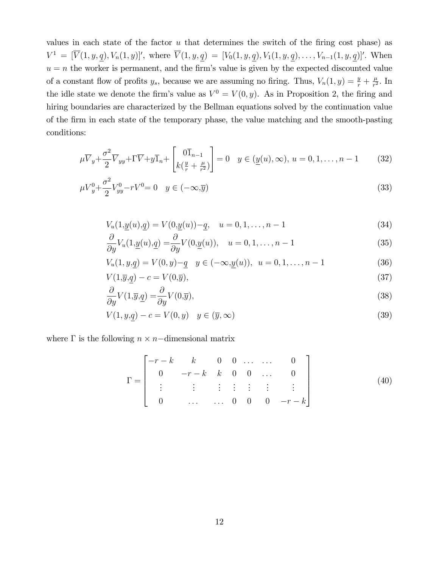values in each state of the factor  $u$  that determines the switch of the firing cost phase) as  $V^1 = [\overline{V}(1, y, \underline{q}), V_n(1, y)]'$ , where  $\overline{V}(1, y, \underline{q}) = [V_0(1, y, \underline{q}), V_1(1, y, \underline{q}), \ldots, V_{n-1}(1, y, \underline{q})]'.$  When  $u = n$  the worker is permanent, and the firm's value is given by the expected discounted value of a constant flow of profits  $y_s$ , because we are assuming no firing. Thus,  $V_n(1, y) = \frac{y}{r} + \frac{\mu}{r^2}$  $\frac{\mu}{r^2}$ . In the idle state we denote the firm's value as  $V^0 = V(0, y)$ . As in Proposition 2, the firing and hiring boundaries are characterized by the Bellman equations solved by the continuation value of the Örm in each state of the temporary phase, the value matching and the smooth-pasting conditions:

$$
\mu \overline{V}_y + \frac{\sigma^2}{2} \overline{V}_{yy} + \Gamma \overline{V} + y \overline{1}_n + \begin{bmatrix} 0 \overline{1}_{n-1} \\ k(\frac{y}{r} + \frac{\mu}{r^2}) \end{bmatrix} = 0 \quad y \in (\underline{y}(u), \infty), \ u = 0, 1, \dots, n-1 \tag{32}
$$

$$
\mu V_y^0 + \frac{\sigma^2}{2} V_{yy}^0 - rV^0 = 0 \quad y \in (-\infty, \overline{y})
$$
\n(33)

$$
V_u(1, \underline{y}(u), \underline{q}) = V(0, \underline{y}(u)) - \underline{q}, \quad u = 0, 1, \dots, n - 1
$$
\n(34)

$$
\frac{\partial}{\partial y}V_u(1, \underline{y}(u), \underline{q}) = \frac{\partial}{\partial y}V(0, \underline{y}(u)), \quad u = 0, 1, \dots, n-1
$$
\n(35)

$$
V_u(1, y, \underline{q}) = V(0, y) - \underline{q} \quad y \in (-\infty, \underline{y}(u)), \ u = 0, 1, \dots, n - 1 \tag{36}
$$

$$
V(1,\overline{y},\underline{q}) - c = V(0,\overline{y}),\tag{37}
$$

$$
\frac{\partial}{\partial y}V(1,\overline{y},\underline{q}) = \frac{\partial}{\partial y}V(0,\overline{y}),\tag{38}
$$

$$
V(1, y, \underline{q}) - c = V(0, y) \quad y \in (\overline{y}, \infty)
$$
\n(39)

where  $\Gamma$  is the following  $n \times n$ -dimensional matrix

$$
\Gamma = \begin{bmatrix}\n-r-k & k & 0 & 0 & \dots & \dots & 0 \\
0 & -r-k & k & 0 & 0 & \dots & 0 \\
\vdots & \vdots & \vdots & \vdots & \vdots & \vdots & \vdots \\
0 & \dots & \dots & 0 & 0 & 0 & -r-k\n\end{bmatrix}
$$
\n(40)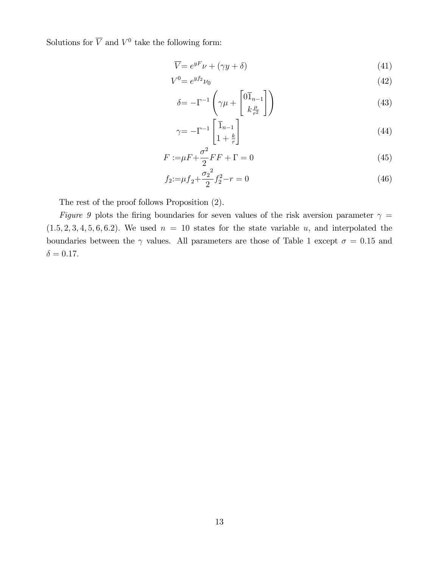Solutions for  $\overline{V}$  and  $V^0$  take the following form:

$$
\overline{V} = e^{yF}\nu + (\gamma y + \delta) \tag{41}
$$

$$
V^0 = e^{y f_2} \nu_0 \tag{42}
$$

$$
\delta = -\Gamma^{-1} \left( \gamma \mu + \begin{bmatrix} 0 \overline{1}_{n-1} \\ k \frac{\mu}{r^2} \end{bmatrix} \right) \tag{43}
$$

$$
\gamma = -\Gamma^{-1} \begin{bmatrix} \overline{1}_{n-1} \\ 1 + \frac{k}{r} \end{bmatrix} \tag{44}
$$

$$
F := \mu F + \frac{\sigma^2}{2} FF + \Gamma = 0\tag{45}
$$

$$
f_2 = \mu f_2 + \frac{\sigma_2^2}{2} f_2^2 - r = 0 \tag{46}
$$

The rest of the proof follows Proposition (2).

Figure 9 plots the firing boundaries for seven values of the risk aversion parameter  $\gamma =$  $(1.5, 2, 3, 4, 5, 6, 6.2)$ . We used  $n = 10$  states for the state variable u, and interpolated the boundaries between the  $\gamma$  values. All parameters are those of Table 1 except  $\sigma = 0.15$  and  $\delta = 0.17.$